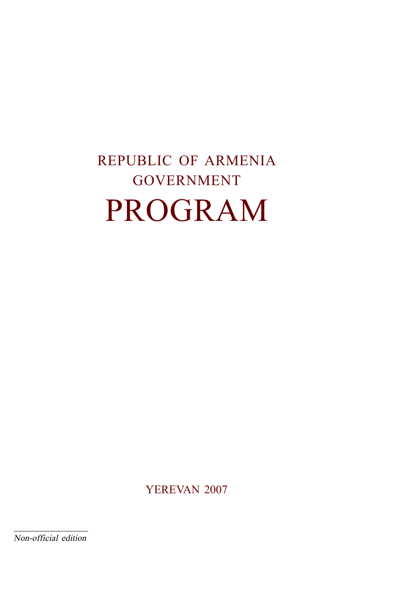# REPUBLIC OF ARMENIA GOVERNMENT PROGRAM

YEREVAN 2007

Non-official edition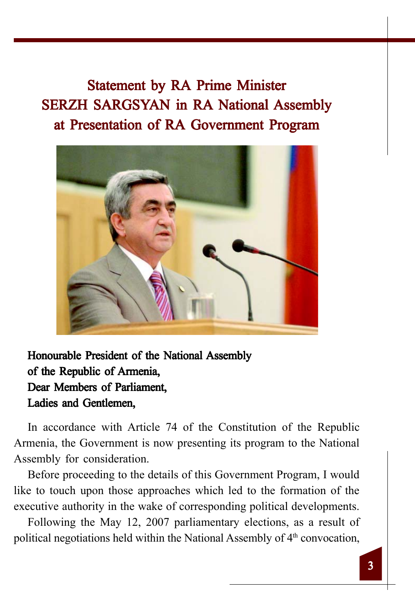Statement by RA Prime Minister SERZH SARGSYAN in RA National Assembly at Presentation of RA Government Program



Honourable President of the National Assembly of the Republic of Armenia, Dear Members of Parliament. Ladies and Gentlemen,

In accordance with Article 74 of the Constitution of the Republic Armenia, the Government is now presenting its program to the National Assembly for consideration.

Before proceeding to the details of this Government Program, I would like to touch upon those approaches which led to the formation of the executive authority in the wake of corresponding political developments.

Following the May 12, 2007 parliamentary elections, as a result of political negotiations held within the National Assembly of 4<sup>th</sup> convocation,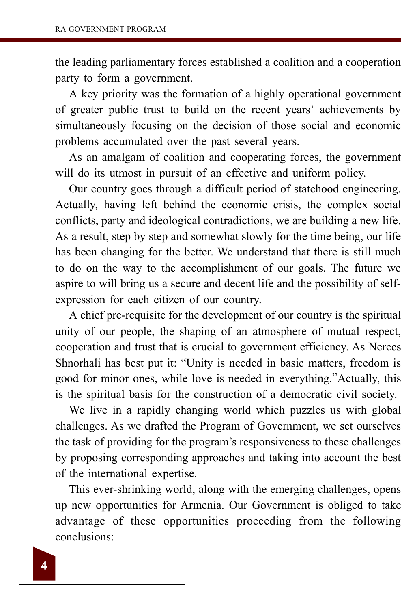the leading parliamentary forces established a coalition and a cooperation party to form a government.

A key priority was the formation of a highly operational government of greater public trust to build on the recent years' achievements by simultaneously focusing on the decision of those social and economic problems accumulated over the past several years.

As an amalgam of coalition and cooperating forces, the government will do its utmost in pursuit of an effective and uniform policy.

Our country goes through a difficult period of statehood engineering. Actually, having left behind the economic crisis, the complex social conflicts, party and ideological contradictions, we are building a new life. As a result, step by step and somewhat slowly for the time being, our life has been changing for the better. We understand that there is still much to do on the way to the accomplishment of our goals. The future we aspire to will bring us a secure and decent life and the possibility of selfexpression for each citizen of our country.

A chief pre-requisite for the development of our country is the spiritual unity of our people, the shaping of an atmosphere of mutual respect, cooperation and trust that is crucial to government efficiency. As Nerces Shnorhali has best put it: "Unity is needed in basic matters, freedom is good for minor ones, while love is needed in everything."Actually, this is the spiritual basis for the construction of a democratic civil society.

We live in a rapidly changing world which puzzles us with global challenges. As we drafted the Program of Government, we set ourselves the task of providing for the program's responsiveness to these challenges by proposing corresponding approaches and taking into account the best of the international expertise.

This ever-shrinking world, along with the emerging challenges, opens up new opportunities for Armenia. Our Government is obliged to take advantage of these opportunities proceeding from the following conclusions: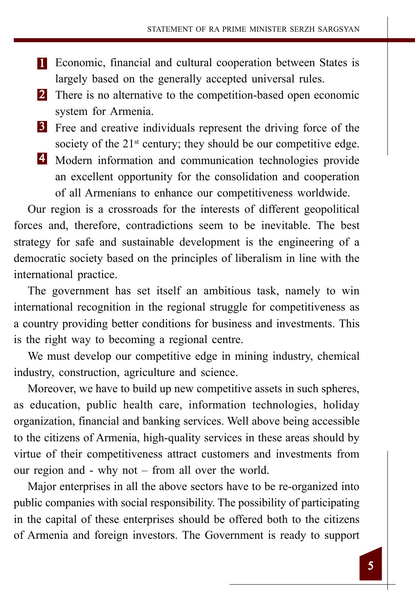- 1 Economic, financial and cultural cooperation between States is largely based on the generally accepted universal rules.
- **2** There is no alternative to the competition-based open economic system for Armenia.
- **3** Free and creative individuals represent the driving force of the society of the 21<sup>st</sup> century; they should be our competitive edge.
- 4 Modern information and communication technologies provide an excellent opportunity for the consolidation and cooperation of all Armenians to enhance our competitiveness worldwide.

Our region is a crossroads for the interests of different geopolitical forces and, therefore, contradictions seem to be inevitable. The best strategy for safe and sustainable development is the engineering of a democratic society based on the principles of liberalism in line with the international practice.

The government has set itself an ambitious task, namely to win international recognition in the regional struggle for competitiveness as a country providing better conditions for business and investments. This is the right way to becoming a regional centre.

We must develop our competitive edge in mining industry, chemical industry, construction, agriculture and science.

Moreover, we have to build up new competitive assets in such spheres, as education, public health care, information technologies, holiday organization, financial and banking services. Well above being accessible to the citizens of Armenia, high-quality services in these areas should by virtue of their competitiveness attract customers and investments from our region and - why not – from all over the world.

Major enterprises in all the above sectors have to be re-organized into public companies with social responsibility. The possibility of participating in the capital of these enterprises should be offered both to the citizens of Armenia and foreign investors. The Government is ready to support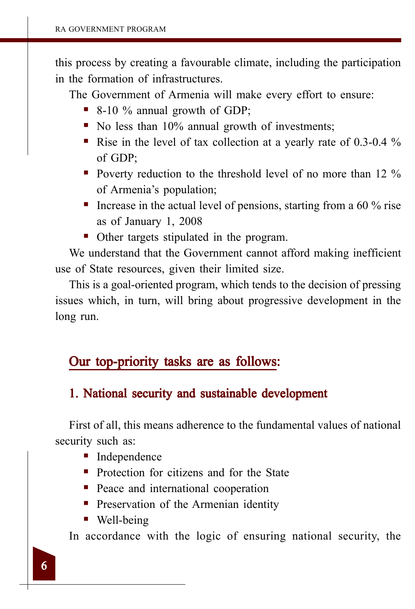this process by creating a favourable climate, including the participation in the formation of infrastructures.

The Government of Armenia will make every effort to ensure:

- 8-10 % annual growth of GDP;
- No less than 10% annual growth of investments;
- Rise in the level of tax collection at a yearly rate of  $0.3{\text -}0.4$  % of GDP;
- Poverty reduction to the threshold level of no more than  $12\%$ of Armenia's population;
- Increase in the actual level of pensions, starting from a 60  $\%$  rise as of January 1, 2008
- Other targets stipulated in the program.

We understand that the Government cannot afford making inefficient use of State resources, given their limited size.

This is a goal-oriented program, which tends to the decision of pressing issues which, in turn, will bring about progressive development in the long run.

## Our top-priority tasks are as follows:

## 1. National security and sustainable development

First of all, this means adherence to the fundamental values of national security such as:

- Independence
- **Protection for citizens and for the State**
- Peace and international cooperation
- **Preservation of the Armenian identity**
- Well-being

In accordance with the logic of ensuring national security, the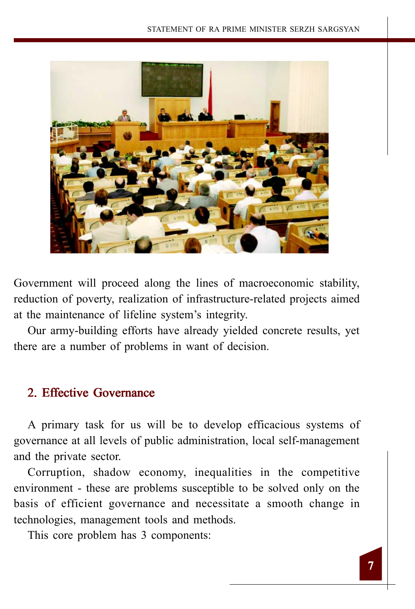

Government will proceed along the lines of macroeconomic stability, reduction of poverty, realization of infrastructure-related projects aimed at the maintenance of lifeline system's integrity.

Our army-building efforts have already yielded concrete results, yet there are a number of problems in want of decision.

## 2. Effective Governance

A primary task for us will be to develop efficacious systems of governance at all levels of public administration, local self-management and the private sector.

Corruption, shadow economy, inequalities in the competitive environment - these are problems susceptible to be solved only on the basis of efficient governance and necessitate a smooth change in technologies, management tools and methods.

This core problem has 3 components: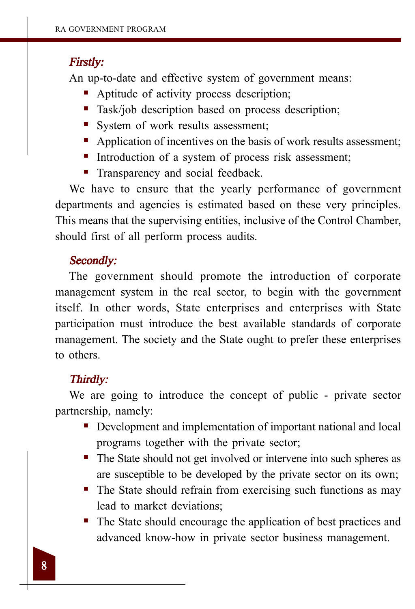#### Firstly:

An up-to-date and effective system of government means:

- Aptitude of activity process description;
- **Task/job description based on process description;**
- System of work results assessment;
- Application of incentives on the basis of work results assessment;
- Introduction of a system of process risk assessment;
- **Transparency and social feedback.**

We have to ensure that the yearly performance of government departments and agencies is estimated based on these very principles. This means that the supervising entities, inclusive of the Control Chamber, should first of all perform process audits.

#### Secondly:

The government should promote the introduction of corporate management system in the real sector, to begin with the government itself. In other words, State enterprises and enterprises with State participation must introduce the best available standards of corporate management. The society and the State ought to prefer these enterprises to others.

#### Thirdly:

We are going to introduce the concept of public - private sector partnership, namely:

- Development and implementation of important national and local programs together with the private sector;
- The State should not get involved or intervene into such spheres as are susceptible to be developed by the private sector on its own;
- The State should refrain from exercising such functions as may lead to market deviations;
- The State should encourage the application of best practices and advanced know-how in private sector business management.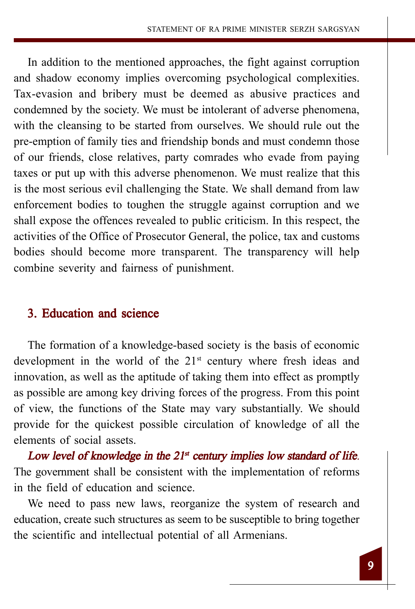In addition to the mentioned approaches, the fight against corruption and shadow economy implies overcoming psychological complexities. Tax-evasion and bribery must be deemed as abusive practices and condemned by the society. We must be intolerant of adverse phenomena, with the cleansing to be started from ourselves. We should rule out the pre-emption of family ties and friendship bonds and must condemn those of our friends, close relatives, party comrades who evade from paying taxes or put up with this adverse phenomenon. We must realize that this is the most serious evil challenging the State. We shall demand from law enforcement bodies to toughen the struggle against corruption and we shall expose the offences revealed to public criticism. In this respect, the activities of the Office of Prosecutor General, the police, tax and customs bodies should become more transparent. The transparency will help combine severity and fairness of punishment.

## 3. Education and science

The formation of a knowledge-based society is the basis of economic development in the world of the  $21<sup>st</sup>$  century where fresh ideas and innovation, as well as the aptitude of taking them into effect as promptly as possible are among key driving forces of the progress. From this point of view, the functions of the State may vary substantially. We should provide for the quickest possible circulation of knowledge of all the elements of social assets.

Low level of knowledge in the  $21<sup>st</sup>$  century implies low standard of life. The government shall be consistent with the implementation of reforms in the field of education and science.

We need to pass new laws, reorganize the system of research and education, create such structures as seem to be susceptible to bring together the scientific and intellectual potential of all Armenians.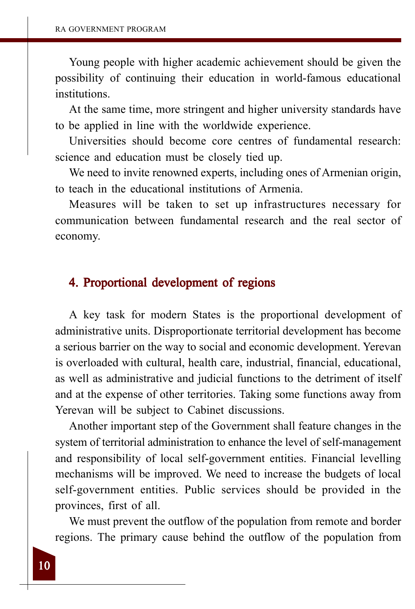Young people with higher academic achievement should be given the possibility of continuing their education in world-famous educational institutions.

At the same time, more stringent and higher university standards have to be applied in line with the worldwide experience.

Universities should become core centres of fundamental research: science and education must be closely tied up.

We need to invite renowned experts, including ones of Armenian origin, to teach in the educational institutions of Armenia.

Measures will be taken to set up infrastructures necessary for communication between fundamental research and the real sector of economy.

#### 4. Proportional development of regions

A key task for modern States is the proportional development of administrative units. Disproportionate territorial development has become a serious barrier on the way to social and economic development. Yerevan is overloaded with cultural, health care, industrial, financial, educational, as well as administrative and judicial functions to the detriment of itself and at the expense of other territories. Taking some functions away from Yerevan will be subject to Cabinet discussions.

Another important step of the Government shall feature changes in the system of territorial administration to enhance the level of self-management and responsibility of local self-government entities. Financial levelling mechanisms will be improved. We need to increase the budgets of local self-government entities. Public services should be provided in the provinces, first of all.

We must prevent the outflow of the population from remote and border regions. The primary cause behind the outflow of the population from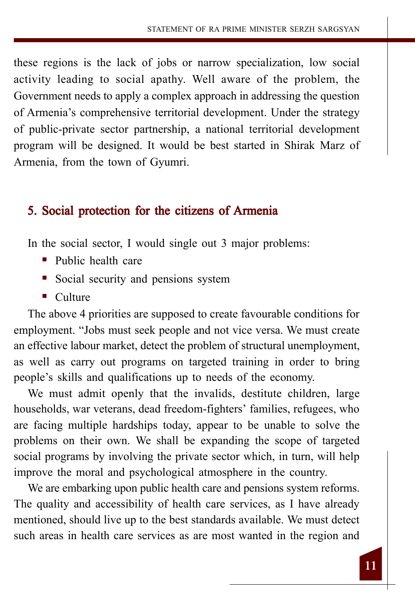these regions is the lack of jobs or narrow specialization, low social activity leading to social apathy. Well aware of the problem, the Government needs to apply a complex approach in addressing the question of Armenia's comprehensive territorial development. Under the strategy of public-private sector partnership, a national territorial development program will be designed. It would be best started in Shirak Marz of Armenia, from the town of Gyumri.

## 5. Social protection for the citizens of Armenia

In the social sector, I would single out 3 major problems:

- **Public health care**
- Social security and pensions system
- Culture

The above 4 priorities are supposed to create favourable conditions for employment. "Jobs must seek people and not vice versa. We must create an effective labour market, detect the problem of structural unemployment, as well as carry out programs on targeted training in order to bring people's skills and qualifications up to needs of the economy.

We must admit openly that the invalids, destitute children, large households, war veterans, dead freedom-fighters' families, refugees, who are facing multiple hardships today, appear to be unable to solve the problems on their own. We shall be expanding the scope of targeted social programs by involving the private sector which, in turn, will help improve the moral and psychological atmosphere in the country.

We are embarking upon public health care and pensions system reforms. The quality and accessibility of health care services, as I have already mentioned, should live up to the best standards available. We must detect such areas in health care services as are most wanted in the region and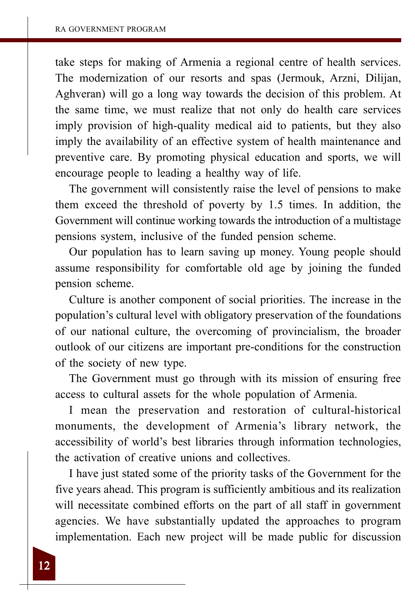take steps for making of Armenia a regional centre of health services. The modernization of our resorts and spas (Jermouk, Arzni, Dilijan, Aghveran) will go a long way towards the decision of this problem. At the same time, we must realize that not only do health care services imply provision of high-quality medical aid to patients, but they also imply the availability of an effective system of health maintenance and preventive care. By promoting physical education and sports, we will encourage people to leading a healthy way of life.

The government will consistently raise the level of pensions to make them exceed the threshold of poverty by 1.5 times. In addition, the Government will continue working towards the introduction of a multistage pensions system, inclusive of the funded pension scheme.

Our population has to learn saving up money. Young people should assume responsibility for comfortable old age by joining the funded pension scheme.

Culture is another component of social priorities. The increase in the population's cultural level with obligatory preservation of the foundations of our national culture, the overcoming of provincialism, the broader outlook of our citizens are important pre-conditions for the construction of the society of new type.

The Government must go through with its mission of ensuring free access to cultural assets for the whole population of Armenia.

I mean the preservation and restoration of cultural-historical monuments, the development of Armenia's library network, the accessibility of world's best libraries through information technologies, the activation of creative unions and collectives.

I have just stated some of the priority tasks of the Government for the five years ahead. This program is sufficiently ambitious and its realization will necessitate combined efforts on the part of all staff in government agencies. We have substantially updated the approaches to program implementation. Each new project will be made public for discussion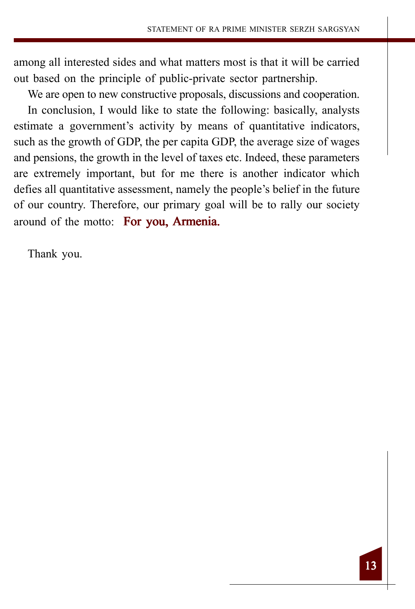among all interested sides and what matters most is that it will be carried out based on the principle of public-private sector partnership.

We are open to new constructive proposals, discussions and cooperation. In conclusion, I would like to state the following: basically, analysts estimate a government's activity by means of quantitative indicators, such as the growth of GDP, the per capita GDP, the average size of wages and pensions, the growth in the level of taxes etc. Indeed, these parameters are extremely important, but for me there is another indicator which defies all quantitative assessment, namely the people's belief in the future of our country. Therefore, our primary goal will be to rally our society around of the motto: For you, Armenia.

Thank you.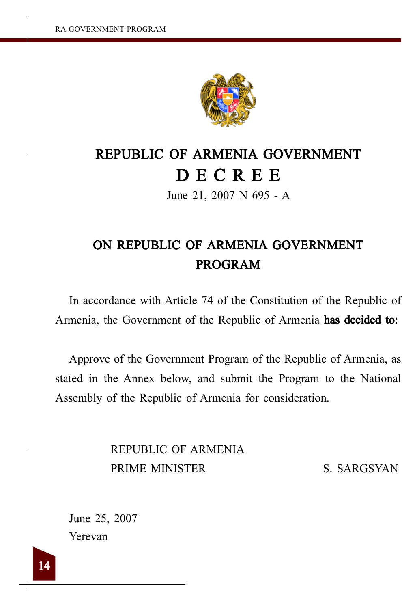

# REPUBLIC OF ARMENIA GOVERNMENT D E C R E E

June 21, 2007 N 695 - A

# ON REPUBLIC OF ARMENIA GOVERNMENT PROGRAM

In accordance with Article 74 of the Constitution of the Republic of Armenia, the Government of the Republic of Armenia has decided to:

Approve of the Government Program of the Republic of Armenia, as stated in the Annex below, and submit the Program to the National Assembly of the Republic of Armenia for consideration.

> REPUBLIC OF ARMENIA PRIME MINISTER S. SARGSYAN

June 25, 2007 Yerevan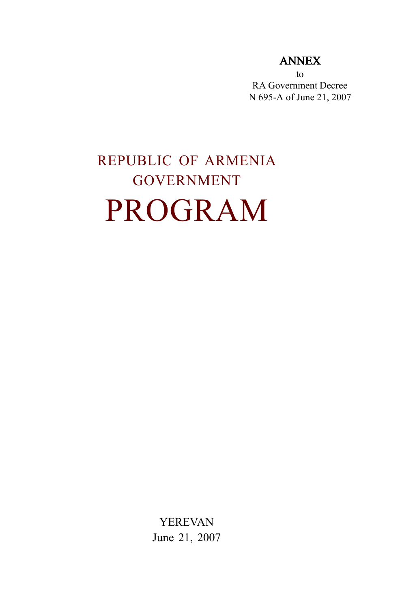## ANNEX

to RA Government Decree N 695-A of June 21, 2007

# REPUBLIC OF ARMENIA GOVERNMENT PROGRAM

YEREVAN June 21, 2007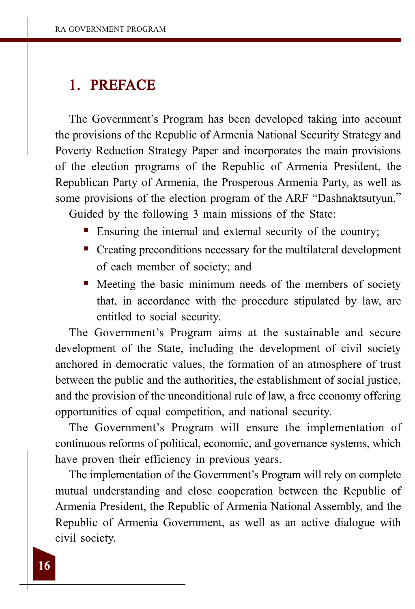## 1. PREFACE

The Government's Program has been developed taking into account the provisions of the Republic of Armenia National Security Strategy and Poverty Reduction Strategy Paper and incorporates the main provisions of the election programs of the Republic of Armenia President, the Republican Party of Armenia, the Prosperous Armenia Party, as well as some provisions of the election program of the ARF "Dashnaktsutyun."

Guided by the following 3 main missions of the State:

- Ensuring the internal and external security of the country;
- Creating preconditions necessary for the multilateral development of each member of society; and
- Meeting the basic minimum needs of the members of society that, in accordance with the procedure stipulated by law, are entitled to social security.

The Government's Program aims at the sustainable and secure development of the State, including the development of civil society anchored in democratic values, the formation of an atmosphere of trust between the public and the authorities, the establishment of social justice, and the provision of the unconditional rule of law, a free economy offering opportunities of equal competition, and national security.

The Government's Program will ensure the implementation of continuous reforms of political, economic, and governance systems, which have proven their efficiency in previous years.

The implementation of the Government's Program will rely on complete mutual understanding and close cooperation between the Republic of Armenia President, the Republic of Armenia National Assembly, and the Republic of Armenia Government, as well as an active dialogue with civil society.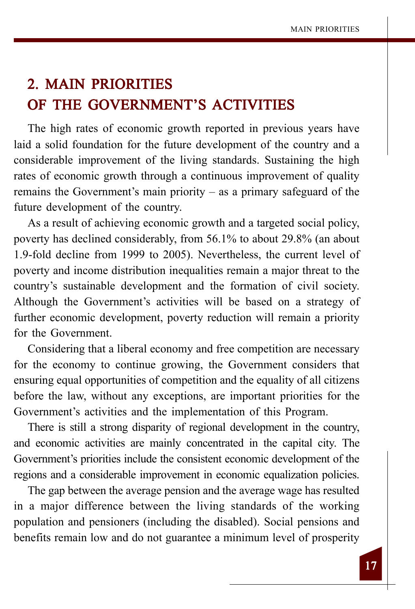# 2. MAIN PRIORITIES OF THE GOVERNMENT'S ACTIVITIES

The high rates of economic growth reported in previous years have laid a solid foundation for the future development of the country and a considerable improvement of the living standards. Sustaining the high rates of economic growth through a continuous improvement of quality remains the Government's main priority – as a primary safeguard of the future development of the country.

As a result of achieving economic growth and a targeted social policy, poverty has declined considerably, from 56.1% to about 29.8% (an about 1.9-fold decline from 1999 to 2005). Nevertheless, the current level of poverty and income distribution inequalities remain a major threat to the country's sustainable development and the formation of civil society. Although the Government's activities will be based on a strategy of further economic development, poverty reduction will remain a priority for the Government.

Considering that a liberal economy and free competition are necessary for the economy to continue growing, the Government considers that ensuring equal opportunities of competition and the equality of all citizens before the law, without any exceptions, are important priorities for the Government's activities and the implementation of this Program.

There is still a strong disparity of regional development in the country, and economic activities are mainly concentrated in the capital city. The Government's priorities include the consistent economic development of the regions and a considerable improvement in economic equalization policies.

The gap between the average pension and the average wage has resulted in a major difference between the living standards of the working population and pensioners (including the disabled). Social pensions and benefits remain low and do not guarantee a minimum level of prosperity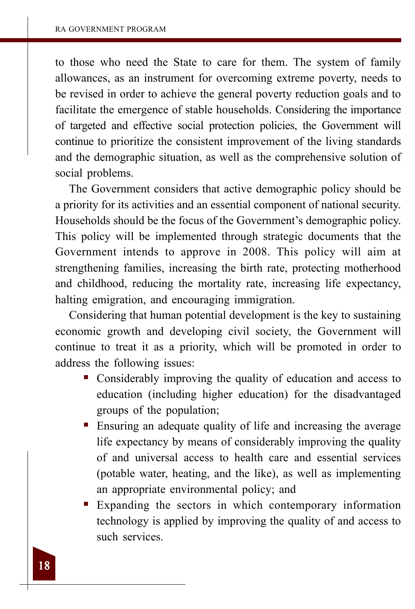to those who need the State to care for them. The system of family allowances, as an instrument for overcoming extreme poverty, needs to be revised in order to achieve the general poverty reduction goals and to facilitate the emergence of stable households. Considering the importance of targeted and effective social protection policies, the Government will continue to prioritize the consistent improvement of the living standards and the demographic situation, as well as the comprehensive solution of social problems.

The Government considers that active demographic policy should be a priority for its activities and an essential component of national security. Households should be the focus of the Government's demographic policy. This policy will be implemented through strategic documents that the Government intends to approve in 2008. This policy will aim at strengthening families, increasing the birth rate, protecting motherhood and childhood, reducing the mortality rate, increasing life expectancy, halting emigration, and encouraging immigration.

Considering that human potential development is the key to sustaining economic growth and developing civil society, the Government will continue to treat it as a priority, which will be promoted in order to address the following issues:

- Considerably improving the quality of education and access to education (including higher education) for the disadvantaged groups of the population;
- Ensuring an adequate quality of life and increasing the average life expectancy by means of considerably improving the quality of and universal access to health care and essential services (potable water, heating, and the like), as well as implementing an appropriate environmental policy; and
- Expanding the sectors in which contemporary information technology is applied by improving the quality of and access to such services.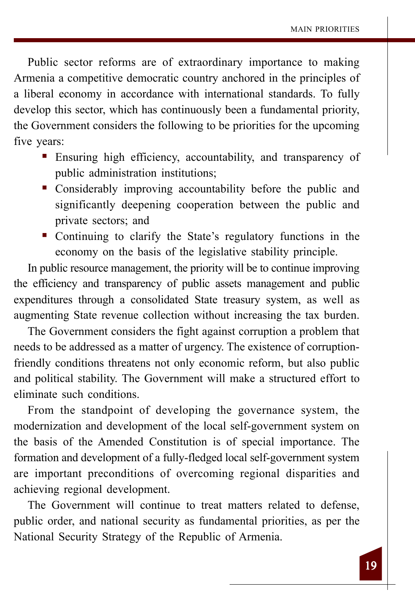Public sector reforms are of extraordinary importance to making Armenia a competitive democratic country anchored in the principles of a liberal economy in accordance with international standards. To fully develop this sector, which has continuously been a fundamental priority, the Government considers the following to be priorities for the upcoming five years:

- Ensuring high efficiency, accountability, and transparency of public administration institutions;
- Considerably improving accountability before the public and significantly deepening cooperation between the public and private sectors; and
- Continuing to clarify the State's regulatory functions in the economy on the basis of the legislative stability principle.

In public resource management, the priority will be to continue improving the efficiency and transparency of public assets management and public expenditures through a consolidated State treasury system, as well as augmenting State revenue collection without increasing the tax burden.

The Government considers the fight against corruption a problem that needs to be addressed as a matter of urgency. The existence of corruptionfriendly conditions threatens not only economic reform, but also public and political stability. The Government will make a structured effort to eliminate such conditions.

From the standpoint of developing the governance system, the modernization and development of the local self-government system on the basis of the Amended Constitution is of special importance. The formation and development of a fully-fledged local self-government system are important preconditions of overcoming regional disparities and achieving regional development.

The Government will continue to treat matters related to defense, public order, and national security as fundamental priorities, as per the National Security Strategy of the Republic of Armenia.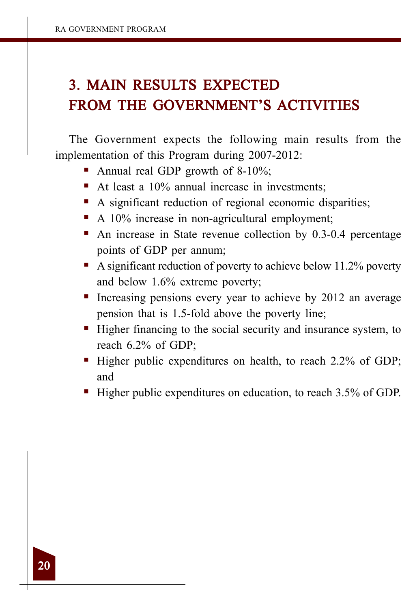# 3. MAIN RESULTS EXPECTED FROM THE GOVERNMENT'S ACTIVITIES

The Government expects the following main results from the implementation of this Program during 2007-2012:

- Annual real GDP growth of  $8-10\%$ ;
- At least a 10% annual increase in investments;
- A significant reduction of regional economic disparities;
- A 10% increase in non-agricultural employment;
- An increase in State revenue collection by 0.3-0.4 percentage points of GDP per annum;
- A significant reduction of poverty to achieve below 11.2% poverty and below 1.6% extreme poverty;
- Increasing pensions every year to achieve by 2012 an average pension that is 1.5-fold above the poverty line;
- Higher financing to the social security and insurance system, to reach 6.2% of GDP;
- Higher public expenditures on health, to reach 2.2% of GDP; and
- Higher public expenditures on education, to reach 3.5% of GDP.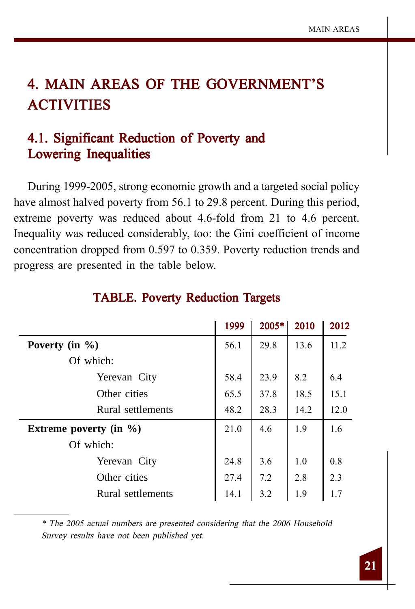# 4. MAIN AREAS OF THE GOVERNMENT'S **ACTIVITIES**

## 4.1. Significant Reduction of Poverty and Lowering Inequalities

During 1999-2005, strong economic growth and a targeted social policy have almost halved poverty from 56.1 to 29.8 percent. During this period, extreme poverty was reduced about 4.6-fold from 21 to 4.6 percent. Inequality was reduced considerably, too: the Gini coefficient of income concentration dropped from 0.597 to 0.359. Poverty reduction trends and progress are presented in the table below.

|                            | 1999 | 2005* | 2010 | 2012 |
|----------------------------|------|-------|------|------|
| Poverty (in $\%$ )         | 56.1 | 29.8  | 13.6 | 11.2 |
| Of which:                  |      |       |      |      |
| Yerevan City               | 58.4 | 23.9  | 8.2  | 6.4  |
| Other cities               | 65.5 | 37.8  | 18.5 | 15.1 |
| Rural settlements          | 48.2 | 28.3  | 14.2 | 12.0 |
| Extreme poverty (in $\%$ ) | 21.0 | 4.6   | 1.9  | 1.6  |
| Of which:                  |      |       |      |      |
| Yerevan City               | 24.8 | 3.6   | 1.0  | 0.8  |
| Other cities               | 27.4 | 7.2   | 2.8  | 2.3  |
| Rural settlements          | 14.1 | 3.2   | 1.9  | 1.7  |

#### TABLE. Poverty Reduction Targets

\* The 2005 actual numbers are presented considering that the 2006 Household Survey results have not been published yet.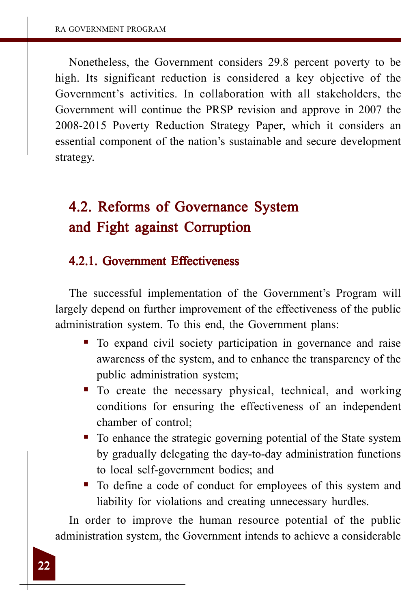Nonetheless, the Government considers 29.8 percent poverty to be high. Its significant reduction is considered a key objective of the Government's activities. In collaboration with all stakeholders, the Government will continue the PRSP revision and approve in 2007 the 2008-2015 Poverty Reduction Strategy Paper, which it considers an essential component of the nation's sustainable and secure development strategy.

# 4.2. Reforms of Governance System and Fight against Corruption

#### 4.2.1. Government Effectiveness

The successful implementation of the Government's Program will largely depend on further improvement of the effectiveness of the public administration system. To this end, the Government plans:

- To expand civil society participation in governance and raise awareness of the system, and to enhance the transparency of the public administration system;
- $\blacksquare$  To create the necessary physical, technical, and working conditions for ensuring the effectiveness of an independent chamber of control;
- To enhance the strategic governing potential of the State system by gradually delegating the day-to-day administration functions to local self-government bodies; and
- To define a code of conduct for employees of this system and liability for violations and creating unnecessary hurdles.

In order to improve the human resource potential of the public administration system, the Government intends to achieve a considerable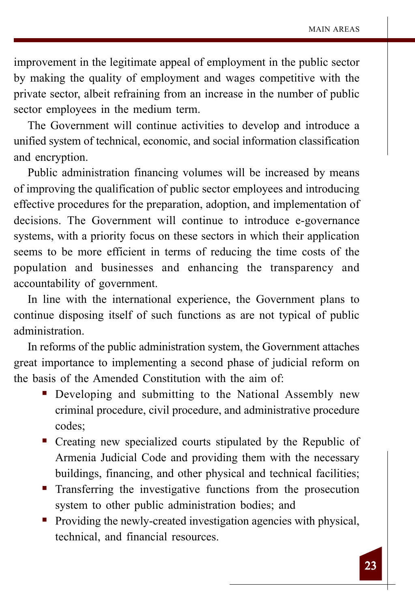improvement in the legitimate appeal of employment in the public sector by making the quality of employment and wages competitive with the private sector, albeit refraining from an increase in the number of public sector employees in the medium term.

The Government will continue activities to develop and introduce a unified system of technical, economic, and social information classification and encryption.

Public administration financing volumes will be increased by means of improving the qualification of public sector employees and introducing effective procedures for the preparation, adoption, and implementation of decisions. The Government will continue to introduce e-governance systems, with a priority focus on these sectors in which their application seems to be more efficient in terms of reducing the time costs of the population and businesses and enhancing the transparency and accountability of government.

In line with the international experience, the Government plans to continue disposing itself of such functions as are not typical of public administration.

In reforms of the public administration system, the Government attaches great importance to implementing a second phase of judicial reform on the basis of the Amended Constitution with the aim of:

- Developing and submitting to the National Assembly new criminal procedure, civil procedure, and administrative procedure codes;
- Creating new specialized courts stipulated by the Republic of Armenia Judicial Code and providing them with the necessary buildings, financing, and other physical and technical facilities;
- **Transferring the investigative functions from the prosecution** system to other public administration bodies; and
- Providing the newly-created investigation agencies with physical, technical, and financial resources.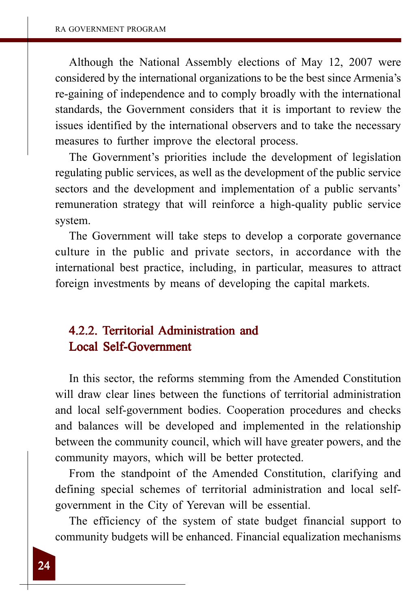Although the National Assembly elections of May 12, 2007 were considered by the international organizations to be the best since Armenia's re-gaining of independence and to comply broadly with the international standards, the Government considers that it is important to review the issues identified by the international observers and to take the necessary measures to further improve the electoral process.

The Government's priorities include the development of legislation regulating public services, as well as the development of the public service sectors and the development and implementation of a public servants' remuneration strategy that will reinforce a high-quality public service system.

The Government will take steps to develop a corporate governance culture in the public and private sectors, in accordance with the international best practice, including, in particular, measures to attract foreign investments by means of developing the capital markets.

## 4.2.2. Territorial Administration and Local Self-Government Local Self-Government

In this sector, the reforms stemming from the Amended Constitution will draw clear lines between the functions of territorial administration and local self-government bodies. Cooperation procedures and checks and balances will be developed and implemented in the relationship between the community council, which will have greater powers, and the community mayors, which will be better protected.

From the standpoint of the Amended Constitution, clarifying and defining special schemes of territorial administration and local selfgovernment in the City of Yerevan will be essential.

The efficiency of the system of state budget financial support to community budgets will be enhanced. Financial equalization mechanisms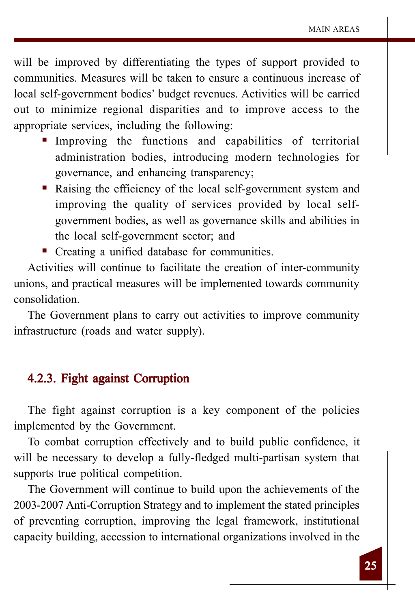will be improved by differentiating the types of support provided to communities. Measures will be taken to ensure a continuous increase of local self-government bodies' budget revenues. Activities will be carried out to minimize regional disparities and to improve access to the appropriate services, including the following:

- Improving the functions and capabilities of territorial administration bodies, introducing modern technologies for governance, and enhancing transparency;
- Raising the efficiency of the local self-government system and improving the quality of services provided by local selfgovernment bodies, as well as governance skills and abilities in the local self-government sector; and
- Creating a unified database for communities.

Activities will continue to facilitate the creation of inter-community unions, and practical measures will be implemented towards community consolidation.

The Government plans to carry out activities to improve community infrastructure (roads and water supply).

## 4.2.3. Fight against Corruption

The fight against corruption is a key component of the policies implemented by the Government.

To combat corruption effectively and to build public confidence, it will be necessary to develop a fully-fledged multi-partisan system that supports true political competition.

The Government will continue to build upon the achievements of the 2003-2007 Anti-Corruption Strategy and to implement the stated principles of preventing corruption, improving the legal framework, institutional capacity building, accession to international organizations involved in the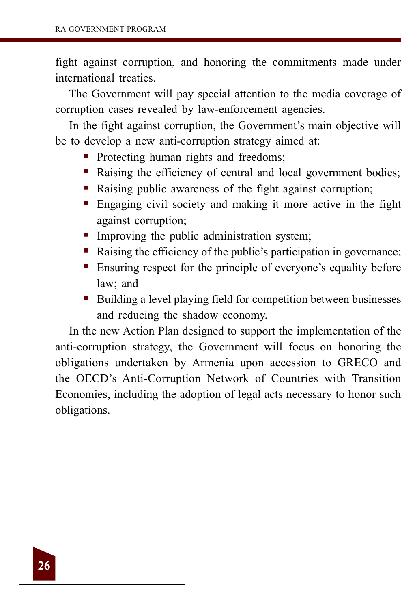fight against corruption, and honoring the commitments made under international treaties.

The Government will pay special attention to the media coverage of corruption cases revealed by law-enforcement agencies.

In the fight against corruption, the Government's main objective will be to develop a new anti-corruption strategy aimed at:

- Protecting human rights and freedoms;
- Raising the efficiency of central and local government bodies;
- Raising public awareness of the fight against corruption;
- Engaging civil society and making it more active in the fight against corruption;
- **Improving the public administration system;**
- Raising the efficiency of the public's participation in governance;
- Ensuring respect for the principle of everyone's equality before law; and
- Building a level playing field for competition between businesses and reducing the shadow economy.

In the new Action Plan designed to support the implementation of the anti-corruption strategy, the Government will focus on honoring the obligations undertaken by Armenia upon accession to GRECO and the OECD's Anti-Corruption Network of Countries with Transition Economies, including the adoption of legal acts necessary to honor such obligations.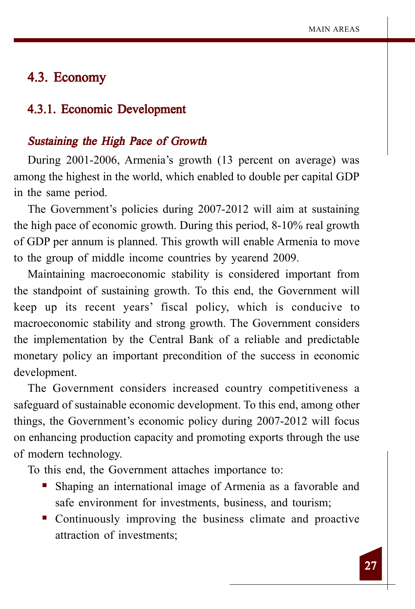## 4.3. Economy

#### 4.3.1. Economic Development

#### Sustaining the High Pace of Growth

During 2001-2006, Armenia's growth (13 percent on average) was among the highest in the world, which enabled to double per capital GDP in the same period.

The Government's policies during 2007-2012 will aim at sustaining the high pace of economic growth. During this period, 8-10% real growth of GDP per annum is planned. This growth will enable Armenia to move to the group of middle income countries by yearend 2009.

Maintaining macroeconomic stability is considered important from the standpoint of sustaining growth. To this end, the Government will keep up its recent years' fiscal policy, which is conducive to macroeconomic stability and strong growth. The Government considers the implementation by the Central Bank of a reliable and predictable monetary policy an important precondition of the success in economic development.

The Government considers increased country competitiveness a safeguard of sustainable economic development. To this end, among other things, the Government's economic policy during 2007-2012 will focus on enhancing production capacity and promoting exports through the use of modern technology.

To this end, the Government attaches importance to:

- Shaping an international image of Armenia as a favorable and safe environment for investments, business, and tourism;
- Continuously improving the business climate and proactive attraction of investments;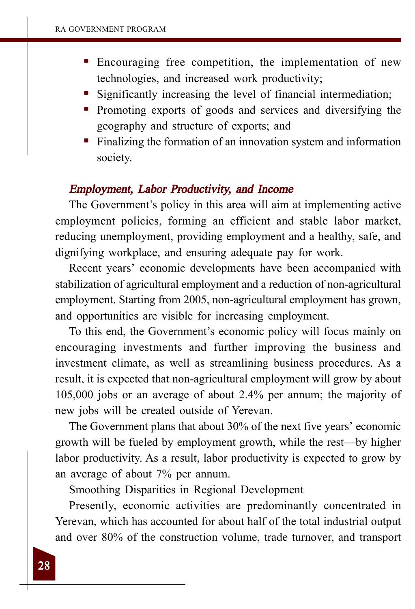- Encouraging free competition, the implementation of new technologies, and increased work productivity;
- Significantly increasing the level of financial intermediation;
- Promoting exports of goods and services and diversifying the geography and structure of exports; and
- Finalizing the formation of an innovation system and information society.

#### Employment, Labor Productivity, and Income

The Government's policy in this area will aim at implementing active employment policies, forming an efficient and stable labor market, reducing unemployment, providing employment and a healthy, safe, and dignifying workplace, and ensuring adequate pay for work.

Recent years' economic developments have been accompanied with stabilization of agricultural employment and a reduction of non-agricultural employment. Starting from 2005, non-agricultural employment has grown, and opportunities are visible for increasing employment.

To this end, the Government's economic policy will focus mainly on encouraging investments and further improving the business and investment climate, as well as streamlining business procedures. As a result, it is expected that non-agricultural employment will grow by about 105,000 jobs or an average of about 2.4% per annum; the majority of new jobs will be created outside of Yerevan.

The Government plans that about 30% of the next five years' economic growth will be fueled by employment growth, while the rest—by higher labor productivity. As a result, labor productivity is expected to grow by an average of about 7% per annum.

Smoothing Disparities in Regional Development

Presently, economic activities are predominantly concentrated in Yerevan, which has accounted for about half of the total industrial output and over 80% of the construction volume, trade turnover, and transport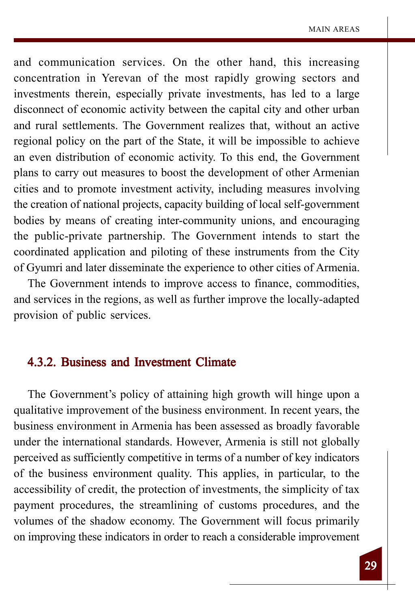and communication services. On the other hand, this increasing concentration in Yerevan of the most rapidly growing sectors and investments therein, especially private investments, has led to a large disconnect of economic activity between the capital city and other urban and rural settlements. The Government realizes that, without an active regional policy on the part of the State, it will be impossible to achieve an even distribution of economic activity. To this end, the Government plans to carry out measures to boost the development of other Armenian cities and to promote investment activity, including measures involving the creation of national projects, capacity building of local self-government bodies by means of creating inter-community unions, and encouraging the public-private partnership. The Government intends to start the coordinated application and piloting of these instruments from the City of Gyumri and later disseminate the experience to other cities of Armenia.

The Government intends to improve access to finance, commodities, and services in the regions, as well as further improve the locally-adapted provision of public services.

## 4.3.2. Business and Investment Climate

The Government's policy of attaining high growth will hinge upon a qualitative improvement of the business environment. In recent years, the business environment in Armenia has been assessed as broadly favorable under the international standards. However, Armenia is still not globally perceived as sufficiently competitive in terms of a number of key indicators of the business environment quality. This applies, in particular, to the accessibility of credit, the protection of investments, the simplicity of tax payment procedures, the streamlining of customs procedures, and the volumes of the shadow economy. The Government will focus primarily on improving these indicators in order to reach a considerable improvement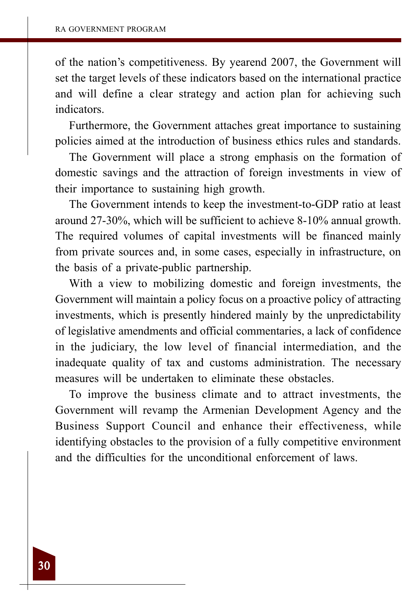of the nation's competitiveness. By yearend 2007, the Government will set the target levels of these indicators based on the international practice and will define a clear strategy and action plan for achieving such indicators.

Furthermore, the Government attaches great importance to sustaining policies aimed at the introduction of business ethics rules and standards.

The Government will place a strong emphasis on the formation of domestic savings and the attraction of foreign investments in view of their importance to sustaining high growth.

The Government intends to keep the investment-to-GDP ratio at least around 27-30%, which will be sufficient to achieve 8-10% annual growth. The required volumes of capital investments will be financed mainly from private sources and, in some cases, especially in infrastructure, on the basis of a private-public partnership.

With a view to mobilizing domestic and foreign investments, the Government will maintain a policy focus on a proactive policy of attracting investments, which is presently hindered mainly by the unpredictability of legislative amendments and official commentaries, a lack of confidence in the judiciary, the low level of financial intermediation, and the inadequate quality of tax and customs administration. The necessary measures will be undertaken to eliminate these obstacles.

To improve the business climate and to attract investments, the Government will revamp the Armenian Development Agency and the Business Support Council and enhance their effectiveness, while identifying obstacles to the provision of a fully competitive environment and the difficulties for the unconditional enforcement of laws.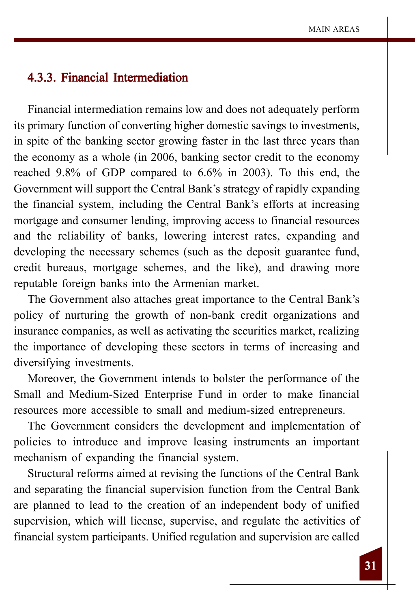## 4.3.3. Financial Intermediation

Financial intermediation remains low and does not adequately perform its primary function of converting higher domestic savings to investments, in spite of the banking sector growing faster in the last three years than the economy as a whole (in 2006, banking sector credit to the economy reached 9.8% of GDP compared to 6.6% in 2003). To this end, the Government will support the Central Bank's strategy of rapidly expanding the financial system, including the Central Bank's efforts at increasing mortgage and consumer lending, improving access to financial resources and the reliability of banks, lowering interest rates, expanding and developing the necessary schemes (such as the deposit guarantee fund, credit bureaus, mortgage schemes, and the like), and drawing more reputable foreign banks into the Armenian market.

The Government also attaches great importance to the Central Bank's policy of nurturing the growth of non-bank credit organizations and insurance companies, as well as activating the securities market, realizing the importance of developing these sectors in terms of increasing and diversifying investments.

Moreover, the Government intends to bolster the performance of the Small and Medium-Sized Enterprise Fund in order to make financial resources more accessible to small and medium-sized entrepreneurs.

The Government considers the development and implementation of policies to introduce and improve leasing instruments an important mechanism of expanding the financial system.

Structural reforms aimed at revising the functions of the Central Bank and separating the financial supervision function from the Central Bank are planned to lead to the creation of an independent body of unified supervision, which will license, supervise, and regulate the activities of financial system participants. Unified regulation and supervision are called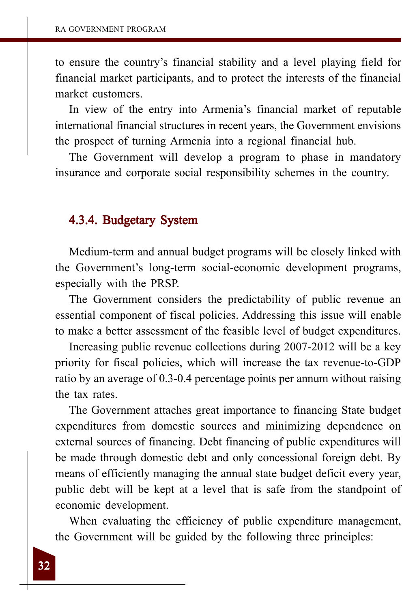to ensure the country's financial stability and a level playing field for financial market participants, and to protect the interests of the financial market customers.

In view of the entry into Armenia's financial market of reputable international financial structures in recent years, the Government envisions the prospect of turning Armenia into a regional financial hub.

The Government will develop a program to phase in mandatory insurance and corporate social responsibility schemes in the country.

## 4.3.4. Budgetary System

Medium-term and annual budget programs will be closely linked with the Government's long-term social-economic development programs, especially with the PRSP.

The Government considers the predictability of public revenue an essential component of fiscal policies. Addressing this issue will enable to make a better assessment of the feasible level of budget expenditures.

Increasing public revenue collections during 2007-2012 will be a key priority for fiscal policies, which will increase the tax revenue-to-GDP ratio by an average of 0.3-0.4 percentage points per annum without raising the tax rates.

The Government attaches great importance to financing State budget expenditures from domestic sources and minimizing dependence on external sources of financing. Debt financing of public expenditures will be made through domestic debt and only concessional foreign debt. By means of efficiently managing the annual state budget deficit every year, public debt will be kept at a level that is safe from the standpoint of economic development.

When evaluating the efficiency of public expenditure management, the Government will be guided by the following three principles: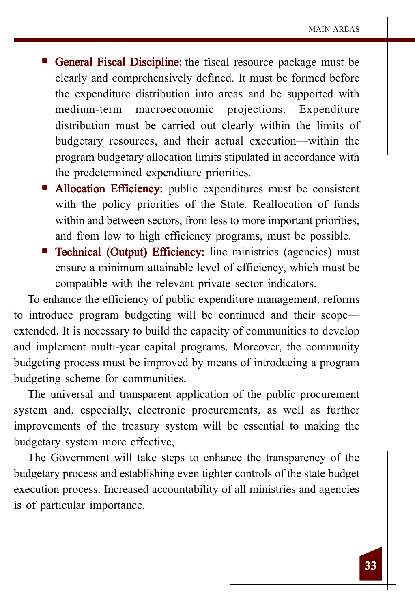- General Fiscal Discipline: the fiscal resource package must be clearly and comprehensively defined. It must be formed before the expenditure distribution into areas and be supported with medium-term macroeconomic projections. Expenditure distribution must be carried out clearly within the limits of budgetary resources, and their actual execution—within the program budgetary allocation limits stipulated in accordance with the predetermined expenditure priorities.
- Allocation Efficiency: public expenditures must be consistent with the policy priorities of the State. Reallocation of funds within and between sectors, from less to more important priorities, and from low to high efficiency programs, must be possible.
- **Technical (Output) Efficiency:** line ministries (agencies) must ensure a minimum attainable level of efficiency, which must be compatible with the relevant private sector indicators.

To enhance the efficiency of public expenditure management, reforms to introduce program budgeting will be continued and their scope extended. It is necessary to build the capacity of communities to develop and implement multi-year capital programs. Moreover, the community budgeting process must be improved by means of introducing a program budgeting scheme for communities.

The universal and transparent application of the public procurement system and, especially, electronic procurements, as well as further improvements of the treasury system will be essential to making the budgetary system more effective,

The Government will take steps to enhance the transparency of the budgetary process and establishing even tighter controls of the state budget execution process. Increased accountability of all ministries and agencies is of particular importance.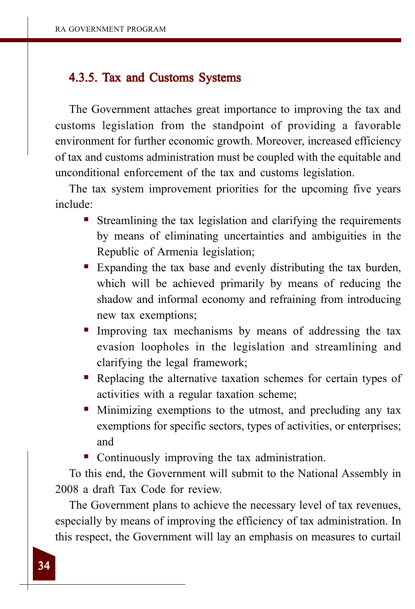## 4.3.5. Tax and Customs Systems

The Government attaches great importance to improving the tax and customs legislation from the standpoint of providing a favorable environment for further economic growth. Moreover, increased efficiency of tax and customs administration must be coupled with the equitable and unconditional enforcement of the tax and customs legislation.

The tax system improvement priorities for the upcoming five years include:

- Streamlining the tax legislation and clarifying the requirements by means of eliminating uncertainties and ambiguities in the Republic of Armenia legislation;
- Expanding the tax base and evenly distributing the tax burden, which will be achieved primarily by means of reducing the shadow and informal economy and refraining from introducing new tax exemptions;
- Improving tax mechanisms by means of addressing the tax evasion loopholes in the legislation and streamlining and clarifying the legal framework;
- Replacing the alternative taxation schemes for certain types of activities with a regular taxation scheme;
- Minimizing exemptions to the utmost, and precluding any tax exemptions for specific sectors, types of activities, or enterprises; and
- Continuously improving the tax administration.

To this end, the Government will submit to the National Assembly in 2008 a draft Tax Code for review.

The Government plans to achieve the necessary level of tax revenues, especially by means of improving the efficiency of tax administration. In this respect, the Government will lay an emphasis on measures to curtail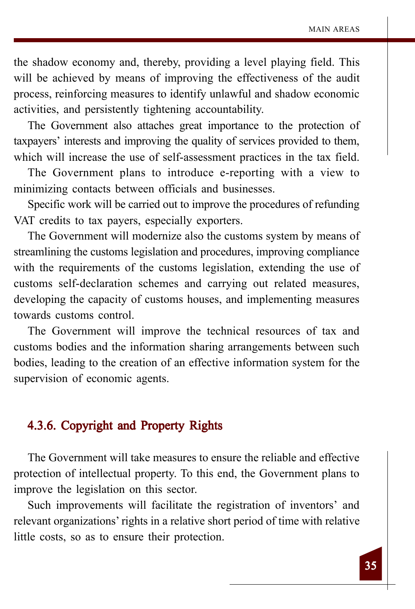the shadow economy and, thereby, providing a level playing field. This will be achieved by means of improving the effectiveness of the audit process, reinforcing measures to identify unlawful and shadow economic activities, and persistently tightening accountability.

The Government also attaches great importance to the protection of taxpayers' interests and improving the quality of services provided to them, which will increase the use of self-assessment practices in the tax field.

The Government plans to introduce e-reporting with a view to minimizing contacts between officials and businesses.

Specific work will be carried out to improve the procedures of refunding VAT credits to tax payers, especially exporters.

The Government will modernize also the customs system by means of streamlining the customs legislation and procedures, improving compliance with the requirements of the customs legislation, extending the use of customs self-declaration schemes and carrying out related measures, developing the capacity of customs houses, and implementing measures towards customs control.

The Government will improve the technical resources of tax and customs bodies and the information sharing arrangements between such bodies, leading to the creation of an effective information system for the supervision of economic agents.

## 4.3.6. Copyright and Property Rights

The Government will take measures to ensure the reliable and effective protection of intellectual property. To this end, the Government plans to improve the legislation on this sector.

Such improvements will facilitate the registration of inventors' and relevant organizations' rights in a relative short period of time with relative little costs, so as to ensure their protection.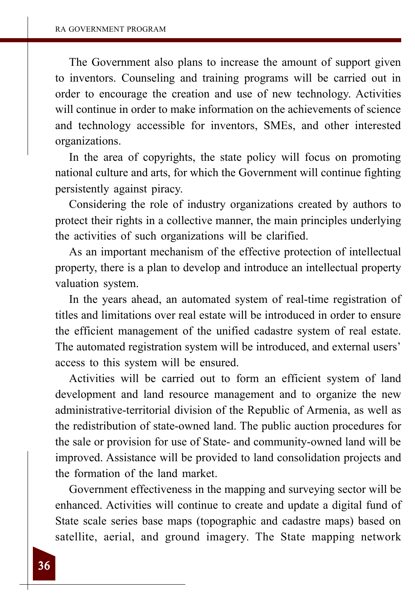The Government also plans to increase the amount of support given to inventors. Counseling and training programs will be carried out in order to encourage the creation and use of new technology. Activities will continue in order to make information on the achievements of science and technology accessible for inventors, SMEs, and other interested organizations.

In the area of copyrights, the state policy will focus on promoting national culture and arts, for which the Government will continue fighting persistently against piracy.

Considering the role of industry organizations created by authors to protect their rights in a collective manner, the main principles underlying the activities of such organizations will be clarified.

As an important mechanism of the effective protection of intellectual property, there is a plan to develop and introduce an intellectual property valuation system.

In the years ahead, an automated system of real-time registration of titles and limitations over real estate will be introduced in order to ensure the efficient management of the unified cadastre system of real estate. The automated registration system will be introduced, and external users' access to this system will be ensured.

Activities will be carried out to form an efficient system of land development and land resource management and to organize the new administrative-territorial division of the Republic of Armenia, as well as the redistribution of state-owned land. The public auction procedures for the sale or provision for use of State- and community-owned land will be improved. Assistance will be provided to land consolidation projects and the formation of the land market.

Government effectiveness in the mapping and surveying sector will be enhanced. Activities will continue to create and update a digital fund of State scale series base maps (topographic and cadastre maps) based on satellite, aerial, and ground imagery. The State mapping network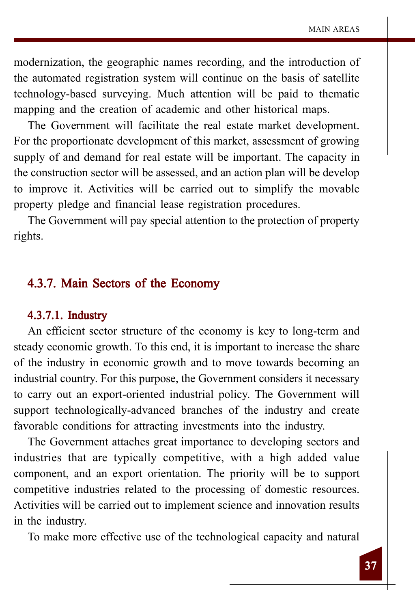modernization, the geographic names recording, and the introduction of the automated registration system will continue on the basis of satellite technology-based surveying. Much attention will be paid to thematic mapping and the creation of academic and other historical maps.

The Government will facilitate the real estate market development. For the proportionate development of this market, assessment of growing supply of and demand for real estate will be important. The capacity in the construction sector will be assessed, and an action plan will be develop to improve it. Activities will be carried out to simplify the movable property pledge and financial lease registration procedures.

The Government will pay special attention to the protection of property rights.

## 4.3.7. Main Sectors of the Economy

#### 4.3.7.1. Industry

An efficient sector structure of the economy is key to long-term and steady economic growth. To this end, it is important to increase the share of the industry in economic growth and to move towards becoming an industrial country. For this purpose, the Government considers it necessary to carry out an export-oriented industrial policy. The Government will support technologically-advanced branches of the industry and create favorable conditions for attracting investments into the industry.

The Government attaches great importance to developing sectors and industries that are typically competitive, with a high added value component, and an export orientation. The priority will be to support competitive industries related to the processing of domestic resources. Activities will be carried out to implement science and innovation results in the industry.

To make more effective use of the technological capacity and natural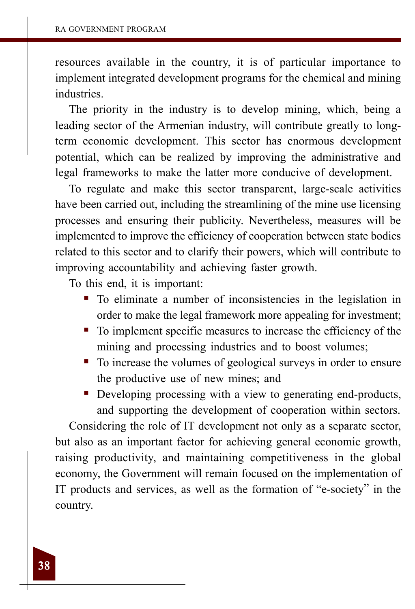resources available in the country, it is of particular importance to implement integrated development programs for the chemical and mining industries.

The priority in the industry is to develop mining, which, being a leading sector of the Armenian industry, will contribute greatly to longterm economic development. This sector has enormous development potential, which can be realized by improving the administrative and legal frameworks to make the latter more conducive of development.

To regulate and make this sector transparent, large-scale activities have been carried out, including the streamlining of the mine use licensing processes and ensuring their publicity. Nevertheless, measures will be implemented to improve the efficiency of cooperation between state bodies related to this sector and to clarify their powers, which will contribute to improving accountability and achieving faster growth.

To this end, it is important:

- To eliminate a number of inconsistencies in the legislation in order to make the legal framework more appealing for investment;
- To implement specific measures to increase the efficiency of the mining and processing industries and to boost volumes;
- To increase the volumes of geological surveys in order to ensure the productive use of new mines; and
- Developing processing with a view to generating end-products, and supporting the development of cooperation within sectors.

Considering the role of IT development not only as a separate sector, but also as an important factor for achieving general economic growth, raising productivity, and maintaining competitiveness in the global economy, the Government will remain focused on the implementation of IT products and services, as well as the formation of "e-society" in the country.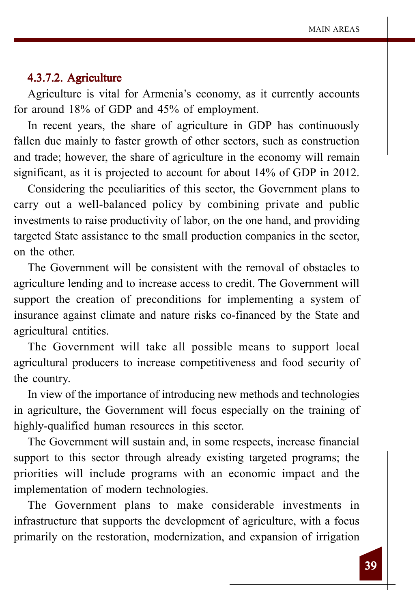#### 4.3.7.2. 4.3.7.2. Agriculture

Agriculture is vital for Armenia's economy, as it currently accounts for around 18% of GDP and 45% of employment.

In recent years, the share of agriculture in GDP has continuously fallen due mainly to faster growth of other sectors, such as construction and trade; however, the share of agriculture in the economy will remain significant, as it is projected to account for about 14% of GDP in 2012.

Considering the peculiarities of this sector, the Government plans to carry out a well-balanced policy by combining private and public investments to raise productivity of labor, on the one hand, and providing targeted State assistance to the small production companies in the sector, on the other.

The Government will be consistent with the removal of obstacles to agriculture lending and to increase access to credit. The Government will support the creation of preconditions for implementing a system of insurance against climate and nature risks co-financed by the State and agricultural entities.

The Government will take all possible means to support local agricultural producers to increase competitiveness and food security of the country.

In view of the importance of introducing new methods and technologies in agriculture, the Government will focus especially on the training of highly-qualified human resources in this sector.

The Government will sustain and, in some respects, increase financial support to this sector through already existing targeted programs; the priorities will include programs with an economic impact and the implementation of modern technologies.

The Government plans to make considerable investments in infrastructure that supports the development of agriculture, with a focus primarily on the restoration, modernization, and expansion of irrigation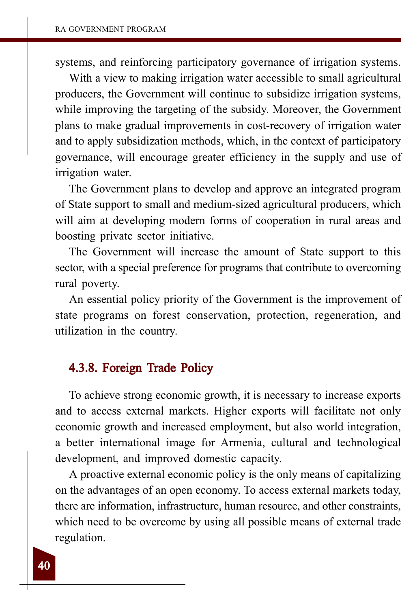systems, and reinforcing participatory governance of irrigation systems.

With a view to making irrigation water accessible to small agricultural producers, the Government will continue to subsidize irrigation systems, while improving the targeting of the subsidy. Moreover, the Government plans to make gradual improvements in cost-recovery of irrigation water and to apply subsidization methods, which, in the context of participatory governance, will encourage greater efficiency in the supply and use of irrigation water.

The Government plans to develop and approve an integrated program of State support to small and medium-sized agricultural producers, which will aim at developing modern forms of cooperation in rural areas and boosting private sector initiative.

The Government will increase the amount of State support to this sector, with a special preference for programs that contribute to overcoming rural poverty.

An essential policy priority of the Government is the improvement of state programs on forest conservation, protection, regeneration, and utilization in the country.

## 4.3.8. Foreign Trade Policy

To achieve strong economic growth, it is necessary to increase exports and to access external markets. Higher exports will facilitate not only economic growth and increased employment, but also world integration, a better international image for Armenia, cultural and technological development, and improved domestic capacity.

A proactive external economic policy is the only means of capitalizing on the advantages of an open economy. To access external markets today, there are information, infrastructure, human resource, and other constraints, which need to be overcome by using all possible means of external trade regulation.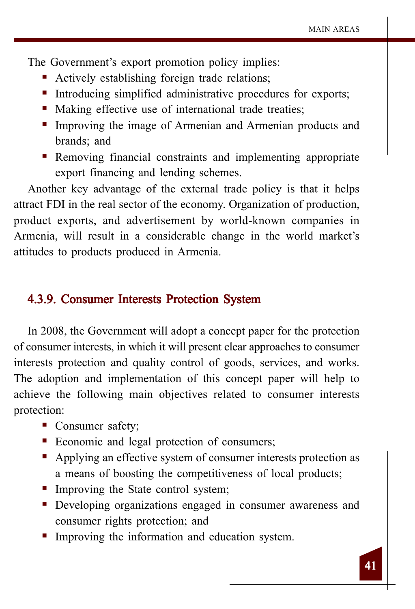The Government's export promotion policy implies:

- Actively establishing foreign trade relations;
- Introducing simplified administrative procedures for exports;
- Making effective use of international trade treaties;
- Improving the image of Armenian and Armenian products and brands; and
- Removing financial constraints and implementing appropriate export financing and lending schemes.

Another key advantage of the external trade policy is that it helps attract FDI in the real sector of the economy. Organization of production, product exports, and advertisement by world-known companies in Armenia, will result in a considerable change in the world market's attitudes to products produced in Armenia.

#### 4.3.9. Consumer Interests Protection System

In 2008, the Government will adopt a concept paper for the protection of consumer interests, in which it will present clear approaches to consumer interests protection and quality control of goods, services, and works. The adoption and implementation of this concept paper will help to achieve the following main objectives related to consumer interests protection:

- Consumer safety;
- Economic and legal protection of consumers;
- Applying an effective system of consumer interests protection as a means of boosting the competitiveness of local products;
- Improving the State control system;
- Developing organizations engaged in consumer awareness and consumer rights protection; and
- Improving the information and education system.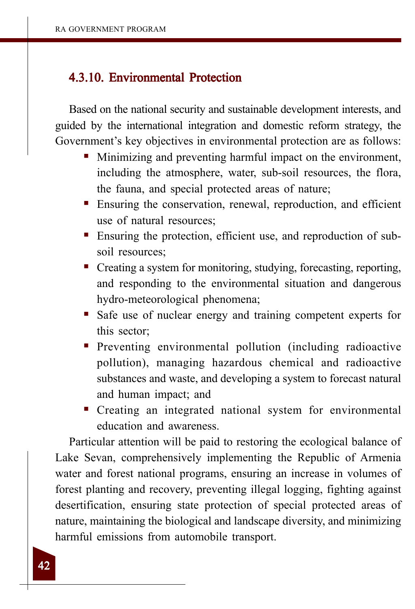## 4.3.10. Environmental Protection

Based on the national security and sustainable development interests, and guided by the international integration and domestic reform strategy, the Government's key objectives in environmental protection are as follows:

- Minimizing and preventing harmful impact on the environment, including the atmosphere, water, sub-soil resources, the flora, the fauna, and special protected areas of nature;
- Ensuring the conservation, renewal, reproduction, and efficient use of natural resources;
- Ensuring the protection, efficient use, and reproduction of subsoil resources;
- Creating a system for monitoring, studying, forecasting, reporting, and responding to the environmental situation and dangerous hydro-meteorological phenomena;
- Safe use of nuclear energy and training competent experts for this sector;
- **Preventing environmental pollution (including radioactive** pollution), managing hazardous chemical and radioactive substances and waste, and developing a system to forecast natural and human impact; and
- Creating an integrated national system for environmental education and awareness.

Particular attention will be paid to restoring the ecological balance of Lake Sevan, comprehensively implementing the Republic of Armenia water and forest national programs, ensuring an increase in volumes of forest planting and recovery, preventing illegal logging, fighting against desertification, ensuring state protection of special protected areas of nature, maintaining the biological and landscape diversity, and minimizing harmful emissions from automobile transport.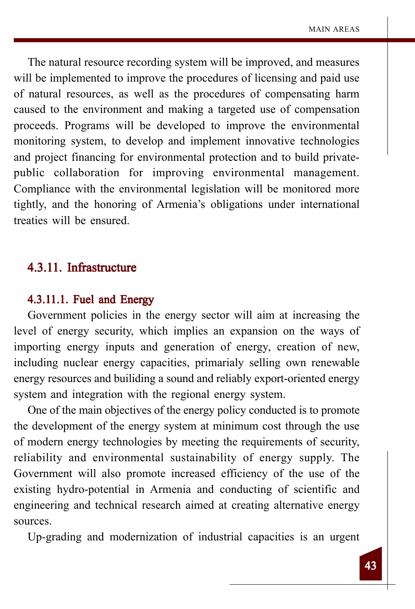The natural resource recording system will be improved, and measures will be implemented to improve the procedures of licensing and paid use of natural resources, as well as the procedures of compensating harm caused to the environment and making a targeted use of compensation proceeds. Programs will be developed to improve the environmental monitoring system, to develop and implement innovative technologies and project financing for environmental protection and to build privatepublic collaboration for improving environmental management. Compliance with the environmental legislation will be monitored more tightly, and the honoring of Armenia's obligations under international treaties will be ensured.

## 4.3.11. Infrastructure

#### $4.3.11.1.$  Fuel and Energy

Government policies in the energy sector will aim at increasing the level of energy security, which implies an expansion on the ways of importing energy inputs and generation of energy, creation of new, including nuclear energy capacities, primarialy selling own renewable energy resources and builiding a sound and reliably export-oriented energy system and integration with the regional energy system.

One of the main objectives of the energy policy conducted is to promote the development of the energy system at minimum cost through the use of modern energy technologies by meeting the requirements of security, reliability and environmental sustainability of energy supply. The Government will also promote increased efficiency of the use of the existing hydro-potential in Armenia and conducting of scientific and engineering and technical research aimed at creating alternative energy sources.

Up-grading and modernization of industrial capacities is an urgent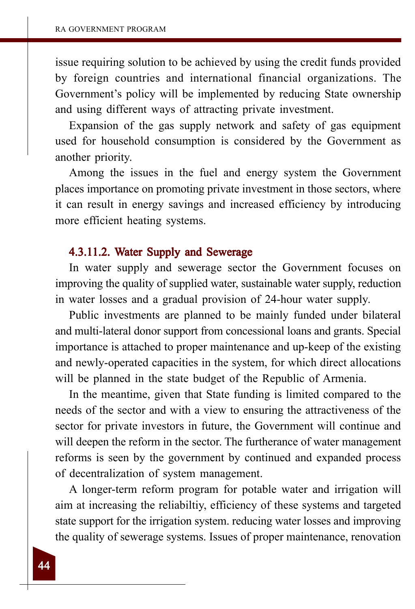issue requiring solution to be achieved by using the credit funds provided by foreign countries and international financial organizations. The Government's policy will be implemented by reducing State ownership and using different ways of attracting private investment.

Expansion of the gas supply network and safety of gas equipment used for household consumption is considered by the Government as another priority.

Among the issues in the fuel and energy system the Government places importance on promoting private investment in those sectors, where it can result in energy savings and increased efficiency by introducing more efficient heating systems.

#### 4.3.11.2. Water Supply and Sewerage

In water supply and sewerage sector the Government focuses on improving the quality of supplied water, sustainable water supply, reduction in water losses and a gradual provision of 24-hour water supply.

Public investments are planned to be mainly funded under bilateral and multi-lateral donor support from concessional loans and grants. Special importance is attached to proper maintenance and up-keep of the existing and newly-operated capacities in the system, for which direct allocations will be planned in the state budget of the Republic of Armenia.

In the meantime, given that State funding is limited compared to the needs of the sector and with a view to ensuring the attractiveness of the sector for private investors in future, the Government will continue and will deepen the reform in the sector. The furtherance of water management reforms is seen by the government by continued and expanded process of decentralization of system management.

A longer-term reform program for potable water and irrigation will aim at increasing the reliabiltiy, efficiency of these systems and targeted state support for the irrigation system. reducing water losses and improving the quality of sewerage systems. Issues of proper maintenance, renovation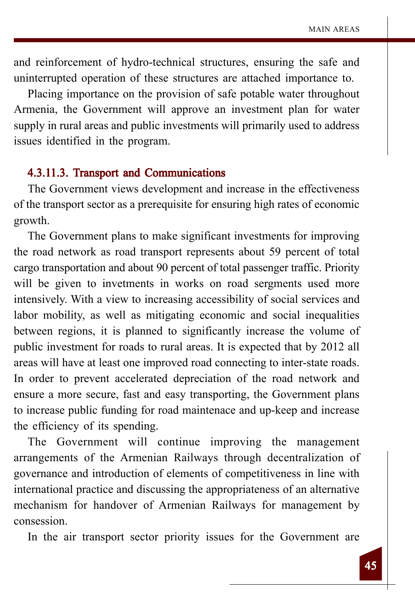and reinforcement of hydro-technical structures, ensuring the safe and uninterrupted operation of these structures are attached importance to.

Placing importance on the provision of safe potable water throughout Armenia, the Government will approve an investment plan for water supply in rural areas and public investments will primarily used to address issues identified in the program.

#### 4.3.11.3. Transport and Communications

The Government views development and increase in the effectiveness of the transport sector as a prerequisite for ensuring high rates of economic growth.

The Government plans to make significant investments for improving the road network as road transport represents about 59 percent of total cargo transportation and about 90 percent of total passenger traffic. Priority will be given to invetments in works on road sergments used more intensively. With a view to increasing accessibility of social services and labor mobility, as well as mitigating economic and social inequalities between regions, it is planned to significantly increase the volume of public investment for roads to rural areas. It is expected that by 2012 all areas will have at least one improved road connecting to inter-state roads. In order to prevent accelerated depreciation of the road network and ensure a more secure, fast and easy transporting, the Government plans to increase public funding for road maintenace and up-keep and increase the efficiency of its spending.

The Government will continue improving the management arrangements of the Armenian Railways through decentralization of governance and introduction of elements of competitiveness in line with international practice and discussing the appropriateness of an alternative mechanism for handover of Armenian Railways for management by consession.

In the air transport sector priority issues for the Government are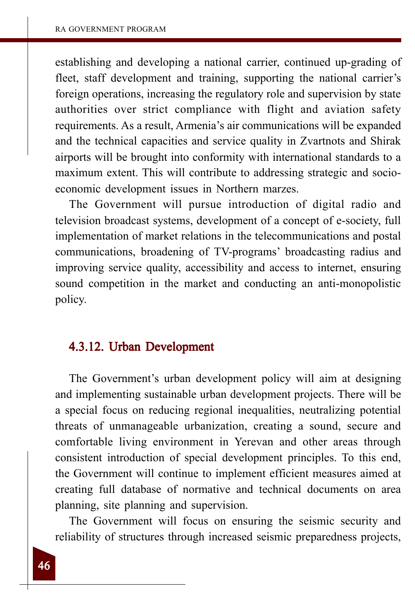establishing and developing a national carrier, continued up-grading of fleet, staff development and training, supporting the national carrier's foreign operations, increasing the regulatory role and supervision by state authorities over strict compliance with flight and aviation safety requirements. As a result, Armenia's air communications will be expanded and the technical capacities and service quality in Zvartnots and Shirak airports will be brought into conformity with international standards to a maximum extent. This will contribute to addressing strategic and socioeconomic development issues in Northern marzes.

The Government will pursue introduction of digital radio and television broadcast systems, development of a concept of e-society, full implementation of market relations in the telecommunications and postal communications, broadening of TV-programs' broadcasting radius and improving service quality, accessibility and access to internet, ensuring sound competition in the market and conducting an anti-monopolistic policy.

## 4.3.12. Urban Development

The Government's urban development policy will aim at designing and implementing sustainable urban development projects. There will be a special focus on reducing regional inequalities, neutralizing potential threats of unmanageable urbanization, creating a sound, secure and comfortable living environment in Yerevan and other areas through consistent introduction of special development principles. To this end, the Government will continue to implement efficient measures aimed at creating full database of normative and technical documents on area planning, site planning and supervision.

The Government will focus on ensuring the seismic security and reliability of structures through increased seismic preparedness projects,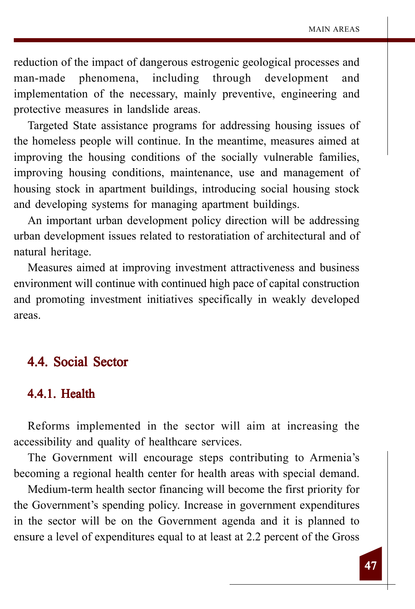reduction of the impact of dangerous estrogenic geological processes and man-made phenomena, including through development and implementation of the necessary, mainly preventive, engineering and protective measures in landslide areas.

Targeted State assistance programs for addressing housing issues of the homeless people will continue. In the meantime, measures aimed at improving the housing conditions of the socially vulnerable families, improving housing conditions, maintenance, use and management of housing stock in apartment buildings, introducing social housing stock and developing systems for managing apartment buildings.

An important urban development policy direction will be addressing urban development issues related to restoratiation of architectural and of natural heritage.

Measures aimed at improving investment attractiveness and business environment will continue with continued high pace of capital construction and promoting investment initiatives specifically in weakly developed areas.

## 4.4. Social Sector

## 4.4.1. Health

Reforms implemented in the sector will aim at increasing the accessibility and quality of healthcare services.

The Government will encourage steps contributing to Armenia's becoming a regional health center for health areas with special demand.

Medium-term health sector financing will become the first priority for the Government's spending policy. Increase in government expenditures in the sector will be on the Government agenda and it is planned to ensure a level of expenditures equal to at least at 2.2 percent of the Gross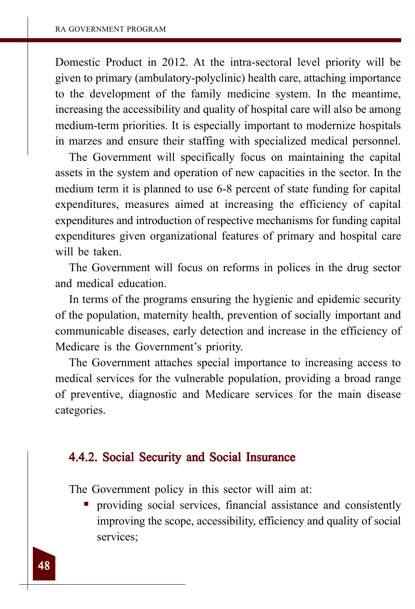Domestic Product in 2012. At the intra-sectoral level priority will be given to primary (ambulatory-polyclinic) health care, attaching importance to the development of the family medicine system. In the meantime, increasing the accessibility and quality of hospital care will also be among medium-term priorities. It is especially important to modernize hospitals in marzes and ensure their staffing with specialized medical personnel.

The Government will specifically focus on maintaining the capital assets in the system and operation of new capacities in the sector. In the medium term it is planned to use 6-8 percent of state funding for capital expenditures, measures aimed at increasing the efficiency of capital expenditures and introduction of respective mechanisms for funding capital expenditures given organizational features of primary and hospital care will be taken.

The Government will focus on reforms in polices in the drug sector and medical education.

In terms of the programs ensuring the hygienic and epidemic security of the population, maternity health, prevention of socially important and communicable diseases, early detection and increase in the efficiency of Medicare is the Government's priority.

The Government attaches special importance to increasing access to medical services for the vulnerable population, providing a broad range of preventive, diagnostic and Medicare services for the main disease categories.

## 4.4.2. Social Security and Social Insurance

The Government policy in this sector will aim at:

 providing social services, financial assistance and consistently improving the scope, accessibility, efficiency and quality of social services;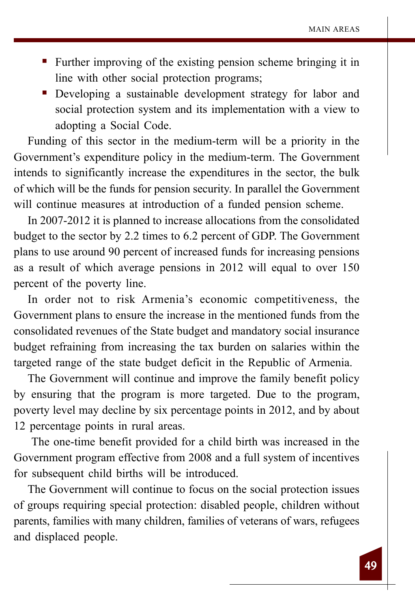- Further improving of the existing pension scheme bringing it in line with other social protection programs;
- Developing a sustainable development strategy for labor and social protection system and its implementation with a view to adopting a Social Code.

Funding of this sector in the medium-term will be a priority in the Government's expenditure policy in the medium-term. The Government intends to significantly increase the expenditures in the sector, the bulk of which will be the funds for pension security. In parallel the Government will continue measures at introduction of a funded pension scheme.

In 2007-2012 it is planned to increase allocations from the consolidated budget to the sector by 2.2 times to 6.2 percent of GDP. The Government plans to use around 90 percent of increased funds for increasing pensions as a result of which average pensions in 2012 will equal to over 150 percent of the poverty line.

In order not to risk Armenia's economic competitiveness, the Government plans to ensure the increase in the mentioned funds from the consolidated revenues of the State budget and mandatory social insurance budget refraining from increasing the tax burden on salaries within the targeted range of the state budget deficit in the Republic of Armenia.

The Government will continue and improve the family benefit policy by ensuring that the program is more targeted. Due to the program, poverty level may decline by six percentage points in 2012, and by about 12 percentage points in rural areas.

 The one-time benefit provided for a child birth was increased in the Government program effective from 2008 and a full system of incentives for subsequent child births will be introduced.

The Government will continue to focus on the social protection issues of groups requiring special protection: disabled people, children without parents, families with many children, families of veterans of wars, refugees and displaced people.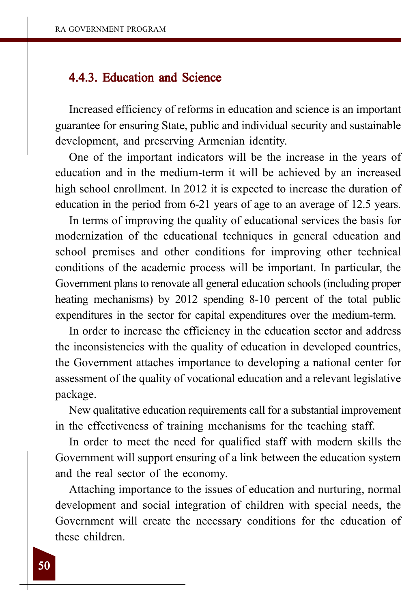## 4.4.3. Education and Science

Increased efficiency of reforms in education and science is an important guarantee for ensuring State, public and individual security and sustainable development, and preserving Armenian identity.

One of the important indicators will be the increase in the years of education and in the medium-term it will be achieved by an increased high school enrollment. In 2012 it is expected to increase the duration of education in the period from 6-21 years of age to an average of 12.5 years.

In terms of improving the quality of educational services the basis for modernization of the educational techniques in general education and school premises and other conditions for improving other technical conditions of the academic process will be important. In particular, the Government plans to renovate all general education schools (including proper heating mechanisms) by 2012 spending 8-10 percent of the total public expenditures in the sector for capital expenditures over the medium-term.

In order to increase the efficiency in the education sector and address the inconsistencies with the quality of education in developed countries, the Government attaches importance to developing a national center for assessment of the quality of vocational education and a relevant legislative package.

New qualitative education requirements call for a substantial improvement in the effectiveness of training mechanisms for the teaching staff.

In order to meet the need for qualified staff with modern skills the Government will support ensuring of a link between the education system and the real sector of the economy.

Attaching importance to the issues of education and nurturing, normal development and social integration of children with special needs, the Government will create the necessary conditions for the education of these children.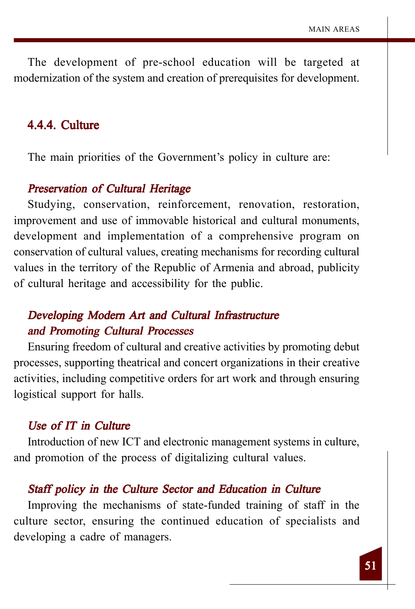The development of pre-school education will be targeted at modernization of the system and creation of prerequisites for development.

## 4.4.4. Culture

The main priorities of the Government's policy in culture are:

## Preservation of Cultural Heritage

Studying, conservation, reinforcement, renovation, restoration, improvement and use of immovable historical and cultural monuments, development and implementation of a comprehensive program on conservation of cultural values, creating mechanisms for recording cultural values in the territory of the Republic of Armenia and abroad, publicity of cultural heritage and accessibility for the public.

## Developing Modern Art and Cultural Infrastructure and Promoting Cultural Processes

Ensuring freedom of cultural and creative activities by promoting debut processes, supporting theatrical and concert organizations in their creative activities, including competitive orders for art work and through ensuring logistical support for halls.

#### Use of IT in Culture

Introduction of new ICT and electronic management systems in culture, and promotion of the process of digitalizing cultural values.

#### Staff policy in the Culture Sector and Education in Culture

Improving the mechanisms of state-funded training of staff in the culture sector, ensuring the continued education of specialists and developing a cadre of managers.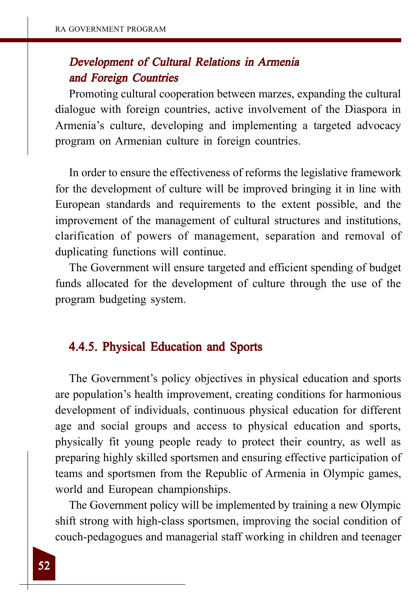## Development of Cultural Relations in Armenia and Foreign Countries

Promoting cultural cooperation between marzes, expanding the cultural dialogue with foreign countries, active involvement of the Diaspora in Armenia's culture, developing and implementing a targeted advocacy program on Armenian culture in foreign countries.

In order to ensure the effectiveness of reforms the legislative framework for the development of culture will be improved bringing it in line with European standards and requirements to the extent possible, and the improvement of the management of cultural structures and institutions, clarification of powers of management, separation and removal of duplicating functions will continue.

The Government will ensure targeted and efficient spending of budget funds allocated for the development of culture through the use of the program budgeting system.

## 4.4.5. Physical Education and Sports 4.4.5. Physical

The Government's policy objectives in physical education and sports are population's health improvement, creating conditions for harmonious development of individuals, continuous physical education for different age and social groups and access to physical education and sports, physically fit young people ready to protect their country, as well as preparing highly skilled sportsmen and ensuring effective participation of teams and sportsmen from the Republic of Armenia in Olympic games, world and European championships.

The Government policy will be implemented by training a new Olympic shift strong with high-class sportsmen, improving the social condition of couch-pedagogues and managerial staff working in children and teenager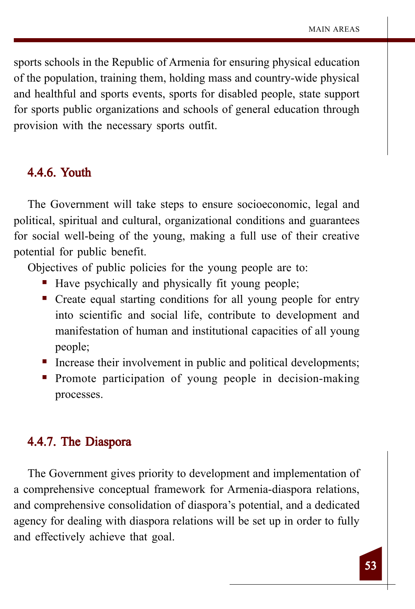sports schools in the Republic of Armenia for ensuring physical education of the population, training them, holding mass and country-wide physical and healthful and sports events, sports for disabled people, state support for sports public organizations and schools of general education through provision with the necessary sports outfit.

## 4.4.6. Youth

The Government will take steps to ensure socioeconomic, legal and political, spiritual and cultural, organizational conditions and guarantees for social well-being of the young, making a full use of their creative potential for public benefit.

Objectives of public policies for the young people are to:

- Have psychically and physically fit young people;
- Create equal starting conditions for all young people for entry into scientific and social life, contribute to development and manifestation of human and institutional capacities of all young people;
- Increase their involvement in public and political developments;
- Promote participation of young people in decision-making processes.

## 4.4.7. The Diaspora

The Government gives priority to development and implementation of a comprehensive conceptual framework for Armenia-diaspora relations, and comprehensive consolidation of diaspora's potential, and a dedicated agency for dealing with diaspora relations will be set up in order to fully and effectively achieve that goal.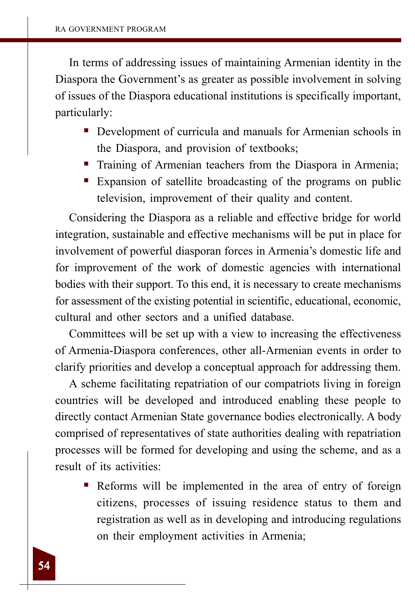In terms of addressing issues of maintaining Armenian identity in the Diaspora the Government's as greater as possible involvement in solving of issues of the Diaspora educational institutions is specifically important, particularly:

- Development of curricula and manuals for Armenian schools in the Diaspora, and provision of textbooks;
- Training of Armenian teachers from the Diaspora in Armenia;
- Expansion of satellite broadcasting of the programs on public television, improvement of their quality and content.

Considering the Diaspora as a reliable and effective bridge for world integration, sustainable and effective mechanisms will be put in place for involvement of powerful diasporan forces in Armenia's domestic life and for improvement of the work of domestic agencies with international bodies with their support. To this end, it is necessary to create mechanisms for assessment of the existing potential in scientific, educational, economic, cultural and other sectors and a unified database.

Committees will be set up with a view to increasing the effectiveness of Armenia-Diaspora conferences, other all-Armenian events in order to clarify priorities and develop a conceptual approach for addressing them.

A scheme facilitating repatriation of our compatriots living in foreign countries will be developed and introduced enabling these people to directly contact Armenian State governance bodies electronically. A body comprised of representatives of state authorities dealing with repatriation processes will be formed for developing and using the scheme, and as a result of its activities:

 Reforms will be implemented in the area of entry of foreign citizens, processes of issuing residence status to them and registration as well as in developing and introducing regulations on their employment activities in Armenia;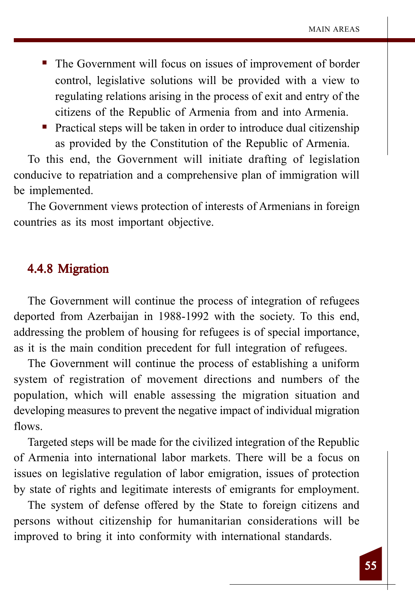- The Government will focus on issues of improvement of border control, legislative solutions will be provided with a view to regulating relations arising in the process of exit and entry of the citizens of the Republic of Armenia from and into Armenia.
- Practical steps will be taken in order to introduce dual citizenship as provided by the Constitution of the Republic of Armenia.

To this end, the Government will initiate drafting of legislation conducive to repatriation and a comprehensive plan of immigration will be implemented.

The Government views protection of interests of Armenians in foreign countries as its most important objective.

## 4.4.8 Migration

The Government will continue the process of integration of refugees deported from Azerbaijan in 1988-1992 with the society. To this end, addressing the problem of housing for refugees is of special importance, as it is the main condition precedent for full integration of refugees.

The Government will continue the process of establishing a uniform system of registration of movement directions and numbers of the population, which will enable assessing the migration situation and developing measures to prevent the negative impact of individual migration flows.

Targeted steps will be made for the civilized integration of the Republic of Armenia into international labor markets. There will be a focus on issues on legislative regulation of labor emigration, issues of protection by state of rights and legitimate interests of emigrants for employment.

The system of defense offered by the State to foreign citizens and persons without citizenship for humanitarian considerations will be improved to bring it into conformity with international standards.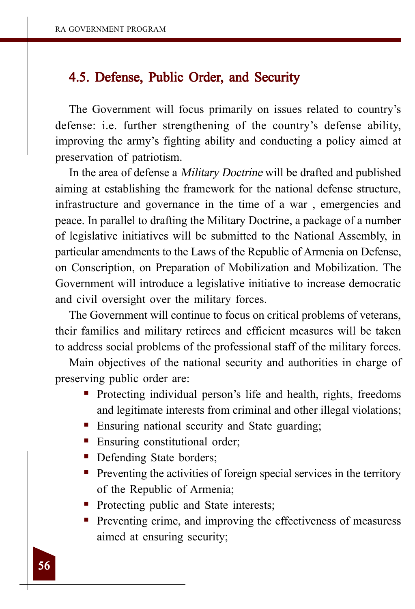## 4.5. Defense, Public Order, and Security

The Government will focus primarily on issues related to country's defense: i.e. further strengthening of the country's defense ability, improving the army's fighting ability and conducting a policy aimed at preservation of patriotism.

In the area of defense a Military Doctrine will be drafted and published aiming at establishing the framework for the national defense structure, infrastructure and governance in the time of a war , emergencies and peace. In parallel to drafting the Military Doctrine, a package of a number of legislative initiatives will be submitted to the National Assembly, in particular amendments to the Laws of the Republic of Armenia on Defense, on Conscription, on Preparation of Mobilization and Mobilization. The Government will introduce a legislative initiative to increase democratic and civil oversight over the military forces.

The Government will continue to focus on critical problems of veterans, their families and military retirees and efficient measures will be taken to address social problems of the professional staff of the military forces.

Main objectives of the national security and authorities in charge of preserving public order are:

- Protecting individual person's life and health, rights, freedoms and legitimate interests from criminal and other illegal violations;
- **Ensuring national security and State guarding;**
- Ensuring constitutional order;
- Defending State borders;
- **Preventing the activities of foreign special services in the territory** of the Republic of Armenia;
- Protecting public and State interests;
- **Preventing crime, and improving the effectiveness of measuress** aimed at ensuring security;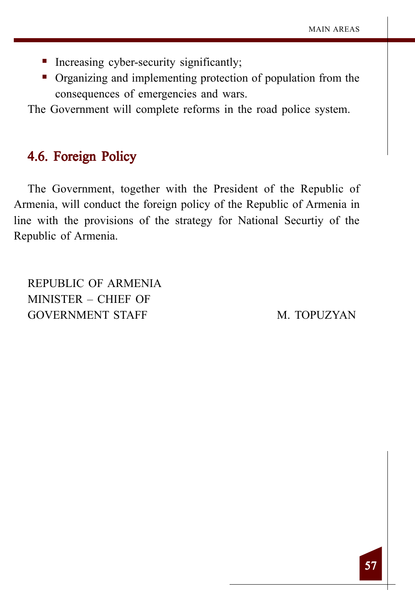- Increasing cyber-security significantly;
- Organizing and implementing protection of population from the consequences of emergencies and wars.

The Government will complete reforms in the road police system.

## 4.6. Foreign Policy

The Government, together with the President of the Republic of Armenia, will conduct the foreign policy of the Republic of Armenia in line with the provisions of the strategy for National Securtiy of the Republic of Armenia.

REPUBLIC OF ARMENIA MINISTER – CHIEF OF GOVERNMENT STAFF M. TOPUZYAN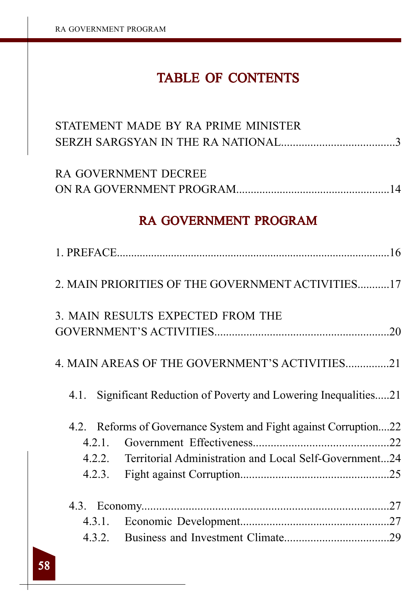## TABLE OF CONTENTS

| STATEMENT MADE BY RA PRIME MINISTER                                  |  |  |  |  |
|----------------------------------------------------------------------|--|--|--|--|
|                                                                      |  |  |  |  |
|                                                                      |  |  |  |  |
| RA GOVERNMENT DECREE                                                 |  |  |  |  |
|                                                                      |  |  |  |  |
| <b>RA GOVERNMENT PROGRAM</b>                                         |  |  |  |  |
|                                                                      |  |  |  |  |
| 2. MAIN PRIORITIES OF THE GOVERNMENT ACTIVITIES17                    |  |  |  |  |
| 3. MAIN RESULTS EXPECTED FROM THE                                    |  |  |  |  |
|                                                                      |  |  |  |  |
|                                                                      |  |  |  |  |
| 4. MAIN AREAS OF THE GOVERNMENT'S ACTIVITIES21                       |  |  |  |  |
| Significant Reduction of Poverty and Lowering Inequalities21<br>4.1. |  |  |  |  |
| 4.2. Reforms of Governance System and Fight against Corruption22     |  |  |  |  |
|                                                                      |  |  |  |  |
| 4.2.2. Territorial Administration and Local Self-Government24        |  |  |  |  |
| 4.2.3.                                                               |  |  |  |  |
|                                                                      |  |  |  |  |
|                                                                      |  |  |  |  |
|                                                                      |  |  |  |  |
|                                                                      |  |  |  |  |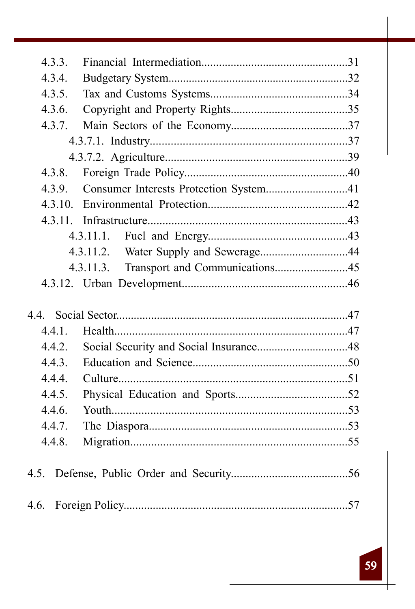| 4.3.3.  |                                        |  |
|---------|----------------------------------------|--|
| 4.3.4.  |                                        |  |
| 4.3.5.  |                                        |  |
| 4.3.6.  |                                        |  |
| 4.3.7.  |                                        |  |
|         |                                        |  |
|         |                                        |  |
| 4.3.8.  |                                        |  |
| 4.3.9.  | Consumer Interests Protection System41 |  |
| 4.3.10. |                                        |  |
|         |                                        |  |
|         | 4.3.11.1.                              |  |
|         |                                        |  |
|         | 4.3.11.3.                              |  |
|         |                                        |  |
|         |                                        |  |
|         |                                        |  |
| 4.4.1.  |                                        |  |
| 4.4.2.  |                                        |  |
| 4.4.3.  |                                        |  |
| 4.4.4.  |                                        |  |
| 4.4.5.  |                                        |  |
| 4.4.6.  |                                        |  |
| 4.4.7.  |                                        |  |
| 4.4.8.  |                                        |  |
|         |                                        |  |
|         |                                        |  |
|         |                                        |  |
|         |                                        |  |
|         |                                        |  |